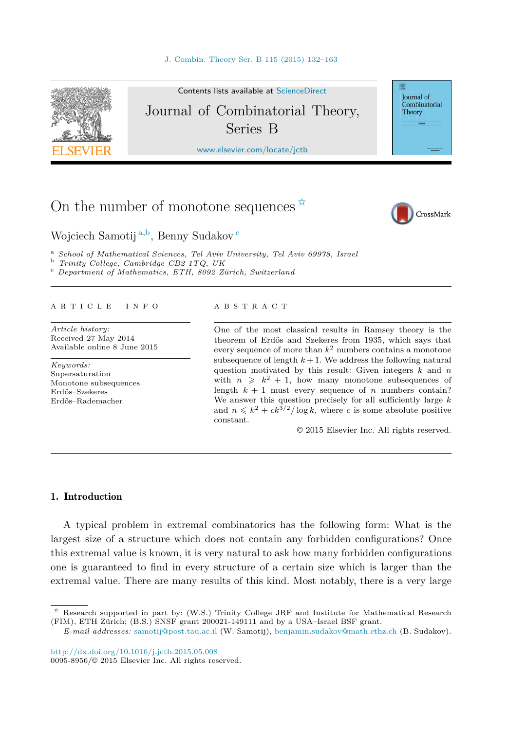<span id="page-0-0"></span>

# On the number of monotone sequences  $\overline{x}$



Wojciech Samotij <sup>a</sup>*,*<sup>b</sup>, Benny Sudakov <sup>c</sup>

<sup>a</sup> School of Mathematical Sciences, Tel Aviv University, Tel Aviv 69978, Israel<br><sup>b</sup> Trinity College, Cambridge CB2 1TQ, UK<br><sup>c</sup> Department of Mathematics, ETH, 8092 Zürich, Switzerland

#### A R T I C L E I N F O A B S T R A C T

*Article history:* Received 27 May 2014 Available online 8 June 2015

*Keywords:* Supersaturation Monotone subsequences Erdős–Szekeres Erdős–Rademacher

One of the most classical results in Ramsey theory is the theorem of Erdős and Szekeres from 1935, which says that every sequence of more than *k*<sup>2</sup> numbers contains a monotone subsequence of length  $k+1$ . We address the following natural question motivated by this result: Given integers *k* and *n* with  $n \geq k^2 + 1$ , how many monotone subsequences of length  $k + 1$  must every sequence of *n* numbers contain? We answer this question precisely for all sufficiently large *k* and  $n \leq k^2 + ck^{3/2}/\log k$ , where *c* is some absolute positive constant.

© 2015 Elsevier Inc. All rights reserved.

## 1. Introduction

A typical problem in extremal combinatorics has the following form: What is the largest size of a structure which does not contain any forbidden configurations? Once this extremal value is known, it is very natural to ask how many forbidden configurations one is guaranteed to find in every structure of a certain size which is larger than the extremal value. There are many results of this kind. Most notably, there is a very large

<sup>✩</sup> Research supported in part by: (W.S.) Trinity College JRF and Institute for Mathematical Research (FIM), ETH Zürich; (B.S.) SNSF grant 200021-149111 and by a USA–Israel BSF grant.

*E-mail addresses:* [samotij@post.tau.ac.il](mailto:samotij@post.tau.ac.il) (W. Samotij), [benjamin.sudakov@math.ethz.ch](mailto:benjamin.sudakov@math.ethz.ch) (B. Sudakov).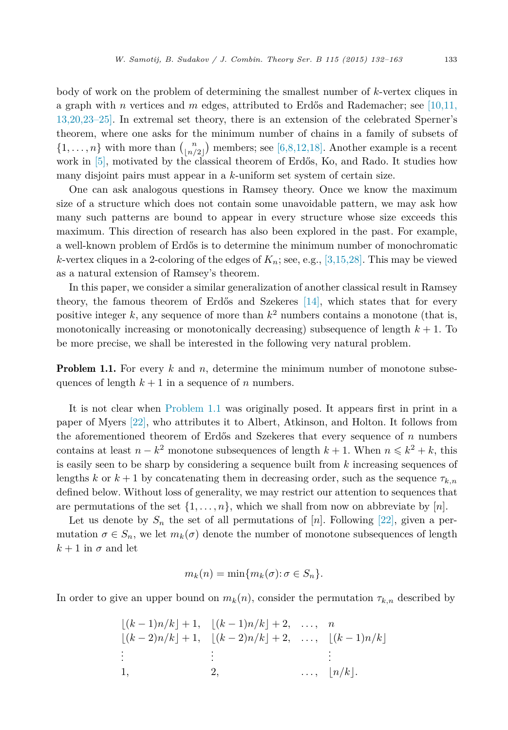<span id="page-1-0"></span>body of work on the problem of determining the smallest number of *k*-vertex cliques in a graph with *n* vertices and *m* edges, attributed to Erdős and Rademacher; see [\[10,11,](#page-30-0) [13,20,23–25\].](#page-30-0) In extremal set theory, there is an extension of the celebrated Sperner's theorem, where one asks for the minimum number of chains in a family of subsets of  $\{1, \ldots, n\}$  with more than  $\binom{n}{\lfloor n/2 \rfloor}$  members; see [\[6,8,12,18\].](#page-30-0) Another example is a recent work in  $[5]$ , motivated by the classical theorem of Erdős, Ko, and Rado. It studies how many disjoint pairs must appear in a *k*-uniform set system of certain size.

One can ask analogous questions in Ramsey theory. Once we know the maximum size of a structure which does not contain some unavoidable pattern, we may ask how many such patterns are bound to appear in every structure whose size exceeds this maximum. This direction of research has also been explored in the past. For example, a well-known problem of Erdős is to determine the minimum number of monochromatic *k*-vertex cliques in a 2-coloring of the edges of  $K_n$ ; see, e.g., [\[3,15,28\].](#page-30-0) This may be viewed as a natural extension of Ramsey's theorem.

In this paper, we consider a similar generalization of another classical result in Ramsey theory, the famous theorem of Erdős and Szekeres [\[14\],](#page-30-0) which states that for every positive integer  $k$ , any sequence of more than  $k^2$  numbers contains a monotone (that is, monotonically increasing or monotonically decreasing) subsequence of length  $k + 1$ . To be more precise, we shall be interested in the following very natural problem.

**Problem 1.1.** For every k and n, determine the minimum number of monotone subsequences of length  $k + 1$  in a sequence of *n* numbers.

It is not clear when Problem 1.1 was originally posed. It appears first in print in a paper of Myers [\[22\],](#page-31-0) who attributes it to Albert, Atkinson, and Holton. It follows from the aforementioned theorem of Erdős and Szekeres that every sequence of *n* numbers contains at least  $n - k^2$  monotone subsequences of length  $k + 1$ . When  $n \leq k^2 + k$ , this is easily seen to be sharp by considering a sequence built from *k* increasing sequences of lengths *k* or  $k + 1$  by concatenating them in decreasing order, such as the sequence  $\tau_{k,n}$ defined below. Without loss of generality, we may restrict our attention to sequences that are permutations of the set  $\{1, \ldots, n\}$ , which we shall from now on abbreviate by  $[n]$ .

Let us denote by  $S_n$  the set of all permutations of  $[n]$ . Following [\[22\],](#page-31-0) given a permutation  $\sigma \in S_n$ , we let  $m_k(\sigma)$  denote the number of monotone subsequences of length  $k + 1$  in  $\sigma$  and let

$$
m_k(n) = \min\{m_k(\sigma): \sigma \in S_n\}.
$$

In order to give an upper bound on  $m_k(n)$ , consider the permutation  $\tau_{k,n}$  described by

$$
\lfloor (k-1)n/k \rfloor + 1, \quad \lfloor (k-1)n/k \rfloor + 2, \quad \dots, \quad n
$$
  

$$
\lfloor (k-2)n/k \rfloor + 1, \quad \lfloor (k-2)n/k \rfloor + 2, \quad \dots, \quad \lfloor (k-1)n/k \rfloor
$$
  

$$
\vdots \qquad \qquad \vdots
$$
  

$$
1, \qquad \qquad 2, \qquad \dots, \quad \lfloor n/k \rfloor.
$$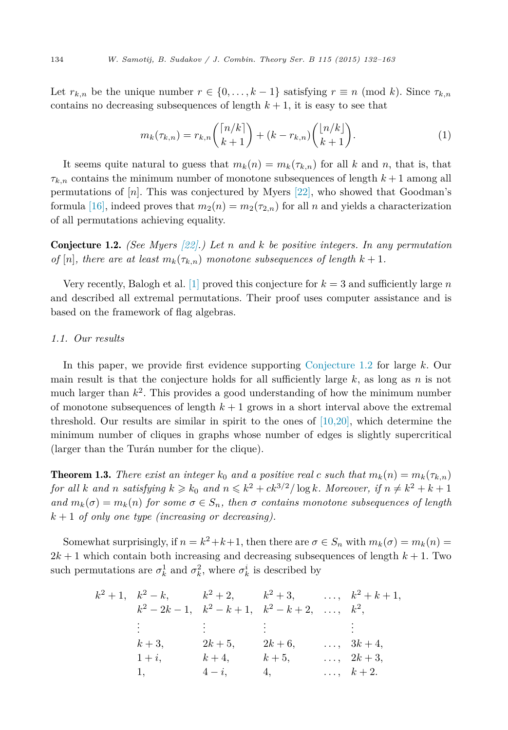<span id="page-2-0"></span>Let  $r_{k,n}$  be the unique number  $r \in \{0, \ldots, k-1\}$  satisfying  $r \equiv n \pmod{k}$ . Since  $\tau_{k,n}$ contains no decreasing subsequences of length  $k + 1$ , it is easy to see that

$$
m_k(\tau_{k,n}) = r_{k,n} \binom{\lceil n/k \rceil}{k+1} + (k - r_{k,n}) \binom{\lfloor n/k \rfloor}{k+1}.
$$
 (1)

It seems quite natural to guess that  $m_k(n) = m_k(\tau_{k,n})$  for all *k* and *n*, that is, that  $\tau_{k,n}$  contains the minimum number of monotone subsequences of length  $k+1$  among all permutations of [*n*]. This was conjectured by Myers [\[22\],](#page-31-0) who showed that Goodman's formula [\[16\],](#page-30-0) indeed proves that  $m_2(n) = m_2(\tau_{2,n})$  for all *n* and yields a characterization of all permutations achieving equality.

Conjecture 1.2. *(See Myers [\[22\].](#page-31-0)) Let n and k be positive integers. In any permutation of*  $[n]$ , *there are at least*  $m_k(\tau_{k,n})$  *monotone subsequences of length*  $k + 1$ *.* 

Very recently, Balogh et al. [\[1\]](#page-30-0) proved this conjecture for  $k = 3$  and sufficiently large *n* and described all extremal permutations. Their proof uses computer assistance and is based on the framework of flag algebras.

### *1.1. Our results*

In this paper, we provide first evidence supporting Conjecture 1.2 for large *k*. Our main result is that the conjecture holds for all sufficiently large *k*, as long as *n* is not much larger than  $k^2$ . This provides a good understanding of how the minimum number of monotone subsequences of length  $k + 1$  grows in a short interval above the extremal threshold. Our results are similar in spirit to the ones of [\[10,20\],](#page-30-0) which determine the minimum number of cliques in graphs whose number of edges is slightly supercritical (larger than the Turán number for the clique).

**Theorem 1.3.** *There exist an integer*  $k_0$  *and a positive real c such that*  $m_k(n) = m_k(\tau_{k,n})$ for all k and n satisfying  $k \geq k_0$  and  $n \leq k^2 + ck^{3/2}/\log k$ . Moreover, if  $n \neq k^2 + k + 1$  $and m_k(\sigma) = m_k(n)$  *for some*  $\sigma \in S_n$ *, then*  $\sigma$  *contains monotone subsequences of length k* + 1 *of only one type (increasing or decreasing).*

Somewhat surprisingly, if  $n = k^2 + k + 1$ , then there are  $\sigma \in S_n$  with  $m_k(\sigma) = m_k(n)$  $2k + 1$  which contain both increasing and decreasing subsequences of length  $k + 1$ . Two such permutations are  $\sigma_k^1$  and  $\sigma_k^2$ , where  $\sigma_k^i$  is described by

| $k^2+1$ , $k^2-k$ , $k^2+2$ , $k^2+3$ , , $k^2+k+1$ , |             |                     |                      |
|-------------------------------------------------------|-------------|---------------------|----------------------|
| $k^2-2k-1$ , $k^2-k+1$ , $k^2-k+2$ ,                  |             |                     | $\ldots, \quad k^2,$ |
| de la provincia                                       | a Barat and | 그는 일이 아니라 이 사람이 없다. |                      |
| $k+3$ ,                                               | $2k + 5$ ,  | $2k + 6$ ,          | $\ldots$ , $3k+4$ ,  |
| $1+i$ ,                                               | $k+4$ ,     | $k+5$ ,             | $\ldots$ , $2k+3$ ,  |
| 1,                                                    | $4-i$ ,     | 4,                  | $\ldots, \quad k+2.$ |
|                                                       |             |                     |                      |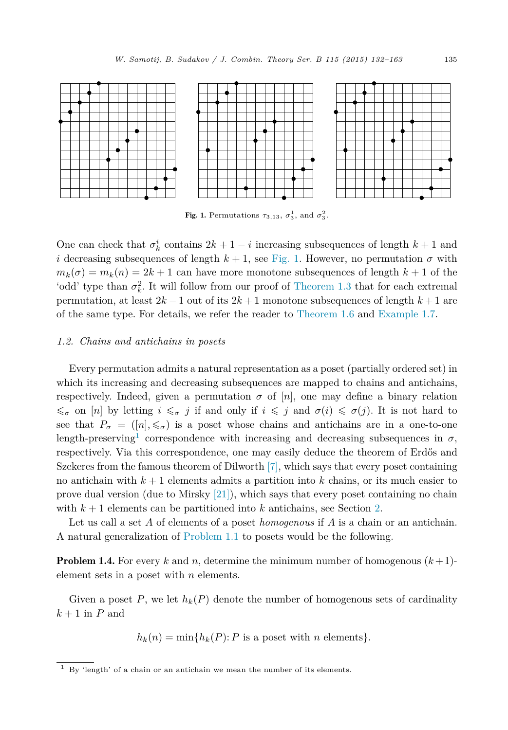

Fig. 1. Permutations  $\tau_{3,13}$ ,  $\sigma_3^1$ , and  $\sigma_3^2$ .

One can check that  $\sigma_k^i$  contains  $2k + 1 - i$  increasing subsequences of length  $k + 1$  and *i* decreasing subsequences of length  $k + 1$ , see Fig. 1. However, no permutation  $\sigma$  with  $m_k(\sigma) = m_k(n) = 2k + 1$  can have more monotone subsequences of length  $k + 1$  of the 'odd' type than  $\sigma_k^2$ . It will follow from our proof of [Theorem 1.3](#page-2-0) that for each extremal permutation, at least  $2k - 1$  out of its  $2k + 1$  monotone subsequences of length  $k + 1$  are of the same type. For details, we refer the reader to [Theorem 1.6](#page-4-0) and [Example 1.7.](#page-4-0)

### *1.2. Chains and antichains in posets*

Every permutation admits a natural representation as a poset (partially ordered set) in which its increasing and decreasing subsequences are mapped to chains and antichains, respectively. Indeed, given a permutation  $\sigma$  of  $[n]$ , one may define a binary relation  $\leq \sigma$  on [*n*] by letting  $i \leq \sigma$  *j* if and only if  $i \leq j$  and  $\sigma(i) \leq \sigma(j)$ . It is not hard to see that  $P_{\sigma} = (n, \leqslant_{\sigma})$  is a poset whose chains and antichains are in a one-to-one length-preserving<sup>1</sup> correspondence with increasing and decreasing subsequences in  $\sigma$ , respectively. Via this correspondence, one may easily deduce the theorem of Erdős and Szekeres from the famous theorem of Dilworth  $[7]$ , which says that every poset containing no antichain with *k* + 1 elements admits a partition into *k* chains, or its much easier to prove dual version (due to Mirsky [\[21\]\)](#page-31-0), which says that every poset containing no chain with  $k+1$  elements can be partitioned into  $k$  antichains, see Section [2.](#page-5-0)

Let us call a set *A* of elements of a poset *homogenous* if *A* is a chain or an antichain. A natural generalization of [Problem 1.1](#page-1-0) to posets would be the following.

**Problem 1.4.** For every k and n, determine the minimum number of homogenous  $(k+1)$ element sets in a poset with *n* elements.

Given a poset P, we let  $h_k(P)$  denote the number of homogenous sets of cardinality  $k+1$  in *P* and

$$
h_k(n) = \min\{h_k(P): P \text{ is a poset with } n \text{ elements}\}.
$$

 $1$  By 'length' of a chain or an antichain we mean the number of its elements.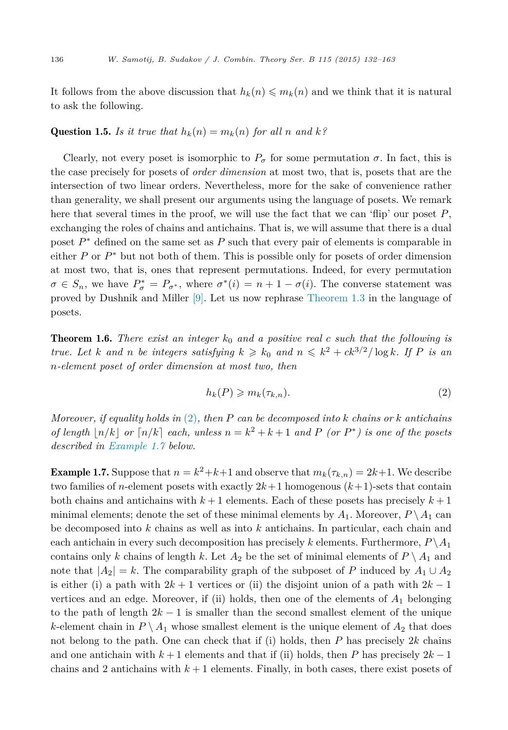<span id="page-4-0"></span>It follows from the above discussion that  $h_k(n) \leq m_k(n)$  and we think that it is natural to ask the following.

## Question 1.5. *Is it true that*  $h_k(n) = m_k(n)$  *for all n and*  $k$ ?

Clearly, not every poset is isomorphic to  $P_{\sigma}$  for some permutation  $\sigma$ . In fact, this is the case precisely for posets of *order dimension* at most two, that is, posets that are the intersection of two linear orders. Nevertheless, more for the sake of convenience rather than generality, we shall present our arguments using the language of posets. We remark here that several times in the proof, we will use the fact that we can 'flip' our poset *P*, exchanging the roles of chains and antichains. That is, we will assume that there is a dual poset *P*<sup>∗</sup> defined on the same set as *P* such that every pair of elements is comparable in either *P* or  $P^*$  but not both of them. This is possible only for posets of order dimension at most two, that is, ones that represent permutations. Indeed, for every permutation  $\sigma \in S_n$ , we have  $P^*_{\sigma} = P_{\sigma^*}$ , where  $\sigma^*(i) = n + 1 - \sigma(i)$ . The converse statement was proved by Dushnik and Miller [\[9\].](#page-30-0) Let us now rephrase [Theorem 1.3](#page-2-0) in the language of posets.

**Theorem 1.6.** There exist an integer  $k_0$  and a positive real c such that the following is true. Let k and n be integers satisfying  $k \geq k_0$  and  $n \leq k^2 + ck^{3/2}/\log k$ . If P is an *n-element poset of order dimension at most two, then*

$$
h_k(P) \geqslant m_k(\tau_{k,n}).\tag{2}
$$

*Moreover, if equality holds in* (2)*, then P can be decomposed into k chains or k antichains of length*  $|n/k|$  *or*  $\lceil n/k \rceil$  *each, unless*  $n = k^2 + k + 1$  *and P (or*  $P^*$ *) is one of the posets described in Example 1.7 below.*

**Example 1.7.** Suppose that  $n = k^2 + k + 1$  and observe that  $m_k(\tau_{k,n}) = 2k+1$ . We describe two families of *n*-element posets with exactly  $2k+1$  homogenous  $(k+1)$ -sets that contain both chains and antichains with  $k+1$  elements. Each of these posets has precisely  $k+1$ minimal elements; denote the set of these minimal elements by  $A_1$ . Moreover,  $P \setminus A_1$  can be decomposed into *k* chains as well as into *k* antichains. In particular, each chain and each antichain in every such decomposition has precisely *k* elements. Furthermore,  $P \setminus A_1$ contains only *k* chains of length *k*. Let  $A_2$  be the set of minimal elements of  $P \setminus A_1$  and note that  $|A_2| = k$ . The comparability graph of the subposet of *P* induced by  $A_1 \cup A_2$ is either (i) a path with  $2k + 1$  vertices or (ii) the disjoint union of a path with  $2k - 1$ vertices and an edge. Moreover, if (ii) holds, then one of the elements of  $A_1$  belonging to the path of length  $2k - 1$  is smaller than the second smallest element of the unique *k*-element chain in  $P \setminus A_1$  whose smallest element is the unique element of  $A_2$  that does not belong to the path. One can check that if (i) holds, then *P* has precisely 2*k* chains and one antichain with  $k+1$  elements and that if (ii) holds, then *P* has precisely  $2k-1$ chains and 2 antichains with  $k+1$  elements. Finally, in both cases, there exist posets of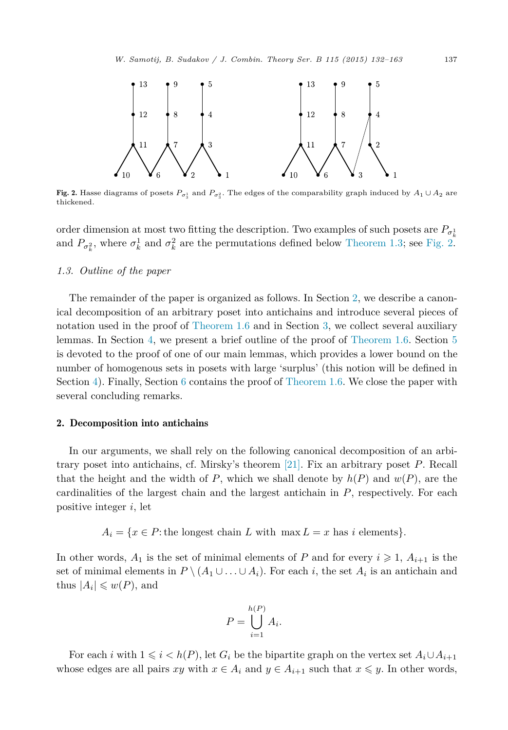<span id="page-5-0"></span>

Fig. 2. Hasse diagrams of posets  $P_{\sigma^1_3}$  and  $P_{\sigma^2_3}$ . The edges of the comparability graph induced by  $A_1 \cup A_2$  are thickened.

order dimension at most two fitting the description. Two examples of such posets are  $P_{\sigma^1}$ and  $P_{\sigma_k^2}$ , where  $\sigma_k^1$  and  $\sigma_k^2$  are the permutations defined below [Theorem 1.3;](#page-2-0) see Fig. 2.

## *1.3. Outline of the paper*

The remainder of the paper is organized as follows. In Section 2, we describe a canonical decomposition of an arbitrary poset into antichains and introduce several pieces of notation used in the proof of [Theorem 1.6](#page-4-0) and in Section [3,](#page-6-0) we collect several auxiliary lemmas. In Section [4,](#page-9-0) we present a brief outline of the proof of [Theorem 1.6.](#page-4-0) Section [5](#page-10-0) is devoted to the proof of one of our main lemmas, which provides a lower bound on the number of homogenous sets in posets with large 'surplus' (this notion will be defined in Section [4\)](#page-9-0). Finally, Section [6](#page-12-0) contains the proof of [Theorem 1.6.](#page-4-0) We close the paper with several concluding remarks.

### 2. Decomposition into antichains

In our arguments, we shall rely on the following canonical decomposition of an arbitrary poset into antichains, cf. Mirsky's theorem [\[21\].](#page-31-0) Fix an arbitrary poset *P*. Recall that the height and the width of *P*, which we shall denote by  $h(P)$  and  $w(P)$ , are the cardinalities of the largest chain and the largest antichain in *P*, respectively. For each positive integer *i*, let

 $A_i = \{x \in P : \text{the longest chain } L \text{ with } \max L = x \text{ has } i \text{ elements}\}.$ 

In other words,  $A_1$  is the set of minimal elements of  $P$  and for every  $i \geq 1$ ,  $A_{i+1}$  is the set of minimal elements in  $P \setminus (A_1 \cup \ldots \cup A_i)$ . For each *i*, the set  $A_i$  is an antichain and thus  $|A_i| \leqslant w(P)$ , and

$$
P = \bigcup_{i=1}^{h(P)} A_i.
$$

For each *i* with  $1 \leq i \leq h(P)$ , let  $G_i$  be the bipartite graph on the vertex set  $A_i \cup A_{i+1}$ whose edges are all pairs *xy* with  $x \in A_i$  and  $y \in A_{i+1}$  such that  $x \leq y$ . In other words,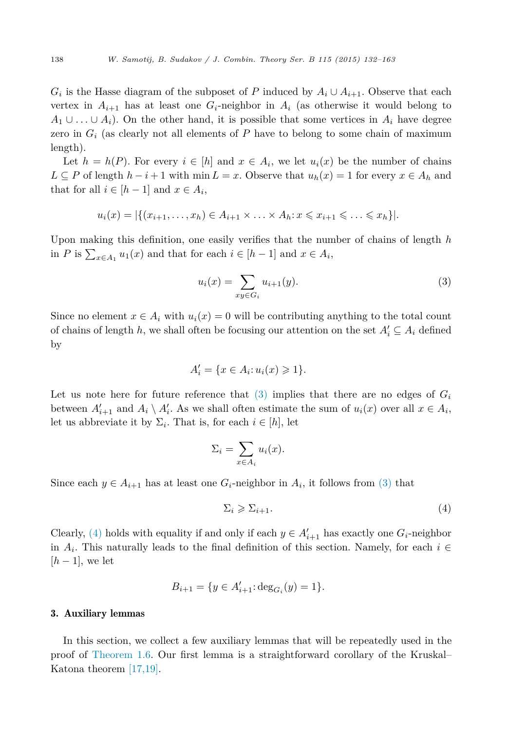<span id="page-6-0"></span> $G_i$  is the Hasse diagram of the subposet of *P* induced by  $A_i \cup A_{i+1}$ . Observe that each vertex in  $A_{i+1}$  has at least one  $G_i$ -neighbor in  $A_i$  (as otherwise it would belong to *A*<sub>1</sub> ∪ *...* ∪ *A*<sub>*i*</sub>). On the other hand, it is possible that some vertices in  $A_i$  have degree zero in  $G_i$  (as clearly not all elements of  $P$  have to belong to some chain of maximum length).

Let  $h = h(P)$ . For every  $i \in [h]$  and  $x \in A_i$ , we let  $u_i(x)$  be the number of chains *L* ⊆ *P* of length  $h - i + 1$  with min *L* = *x*. Observe that  $u_h(x) = 1$  for every  $x \in A_h$  and that for all  $i \in [h-1]$  and  $x \in A_i$ ,

$$
u_i(x) = |\{(x_{i+1},\ldots,x_h) \in A_{i+1} \times \ldots \times A_h : x \leqslant x_{i+1} \leqslant \ldots \leqslant x_h\}|.
$$

Upon making this definition, one easily verifies that the number of chains of length *h* in *P* is  $\sum_{x \in A_1} u_1(x)$  and that for each  $i \in [h-1]$  and  $x \in A_i$ ,

$$
u_i(x) = \sum_{xy \in G_i} u_{i+1}(y).
$$
 (3)

Since no element  $x \in A_i$  with  $u_i(x) = 0$  will be contributing anything to the total count of chains of length *h*, we shall often be focusing our attention on the set  $A_i' \subseteq A_i$  defined by

$$
A'_i = \{ x \in A_i : u_i(x) \geqslant 1 \}.
$$

Let us note here for future reference that  $(3)$  implies that there are no edges of  $G_i$ between  $A'_{i+1}$  and  $A_i \setminus A'_i$ . As we shall often estimate the sum of  $u_i(x)$  over all  $x \in A_i$ , let us abbreviate it by  $\Sigma_i$ . That is, for each  $i \in [h]$ , let

$$
\Sigma_i = \sum_{x \in A_i} u_i(x).
$$

Since each  $y \in A_{i+1}$  has at least one  $G_i$ -neighbor in  $A_i$ , it follows from (3) that

$$
\Sigma_i \geqslant \Sigma_{i+1}.\tag{4}
$$

Clearly, (4) holds with equality if and only if each  $y \in A'_{i+1}$  has exactly one  $G_i$ -neighbor in  $A_i$ . This naturally leads to the final definition of this section. Namely, for each  $i \in$  $[h-1]$ , we let

$$
B_{i+1} = \{ y \in A'_{i+1} : \deg_{G_i}(y) = 1 \}.
$$

### 3. Auxiliary lemmas

In this section, we collect a few auxiliary lemmas that will be repeatedly used in the proof of [Theorem 1.6.](#page-4-0) Our first lemma is a straightforward corollary of the Kruskal– Katona theorem [\[17,19\].](#page-30-0)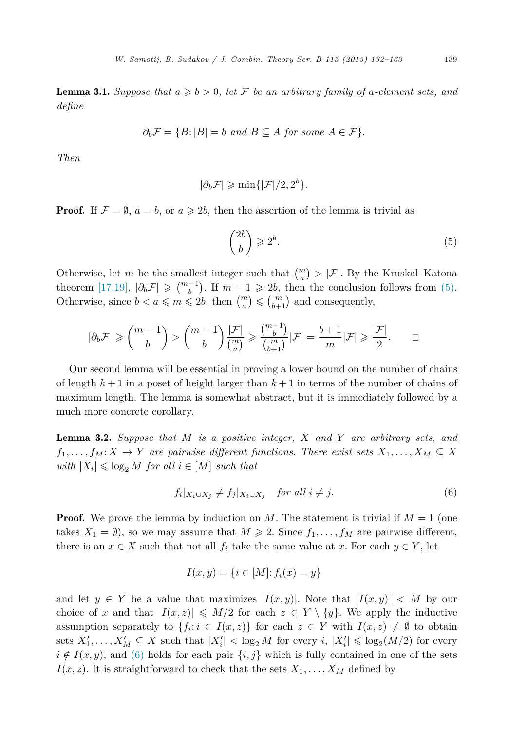<span id="page-7-0"></span>**Lemma 3.1.** Suppose that  $a \geq b > 0$ , let F be an arbitrary family of a-element sets, and *define*

$$
\partial_b \mathcal{F} = \{ B : |B| = b \text{ and } B \subseteq A \text{ for some } A \in \mathcal{F} \}.
$$

*Then*

$$
|\partial_b \mathcal{F}| \geqslant \min\{|\mathcal{F}|/2, 2^b\}.
$$

**Proof.** If  $\mathcal{F} = \emptyset$ ,  $a = b$ , or  $a \ge 2b$ , then the assertion of the lemma is trivial as

$$
\binom{2b}{b} \geqslant 2^b. \tag{5}
$$

Otherwise, let *m* be the smallest integer such that  $\binom{m}{a} > |\mathcal{F}|$ . By the Kruskal–Katona theorem [\[17,19\],](#page-30-0)  $|\partial_b \mathcal{F}| \geqslant {m-1 \choose b}$ . If  $m-1 \geqslant 2b$ , then the conclusion follows from (5). Otherwise, since  $b < a \leq m \leq 2b$ , then  $\binom{m}{a} \leq \binom{m}{b+1}$  and consequently,

$$
|\partial_b \mathcal{F}| \geqslant \binom{m-1}{b} > \binom{m-1}{b} \frac{|\mathcal{F}|}{\binom{m}{a}} \geqslant \frac{\binom{m-1}{b}}{\binom{m}{b+1}} |\mathcal{F}| = \frac{b+1}{m} |\mathcal{F}| \geqslant \frac{|\mathcal{F}|}{2}. \qquad \Box
$$

Our second lemma will be essential in proving a lower bound on the number of chains of length  $k+1$  in a poset of height larger than  $k+1$  in terms of the number of chains of maximum length. The lemma is somewhat abstract, but it is immediately followed by a much more concrete corollary.

Lemma 3.2. *Suppose that M is a positive integer, X and Y are arbitrary sets, and*  $f_1,\ldots,f_M:X\to Y$  are pairwise different functions. There exist sets  $X_1,\ldots,X_M\subseteq X$  $with |X_i| \leq \log_2 M$  *for all*  $i \in [M]$  *such that* 

$$
f_i|_{X_i \cup X_j} \neq f_j|_{X_i \cup X_j} \quad \text{for all } i \neq j. \tag{6}
$$

**Proof.** We prove the lemma by induction on M. The statement is trivial if  $M = 1$  (one takes  $X_1 = \emptyset$ , so we may assume that  $M \ge 2$ . Since  $f_1, \ldots, f_M$  are pairwise different, there is an  $x \in X$  such that not all  $f_i$  take the same value at *x*. For each  $y \in Y$ , let

$$
I(x, y) = \{i \in [M] : f_i(x) = y\}
$$

and let  $y \in Y$  be a value that maximizes  $|I(x, y)|$ . Note that  $|I(x, y)| < M$  by our choice of *x* and that  $|I(x, z)| \le M/2$  for each  $z \in Y \setminus \{y\}$ . We apply the inductive assumption separately to  $\{f_i : i \in I(x, z)\}$  for each  $z \in Y$  with  $I(x, z) \neq \emptyset$  to obtain sets  $X'_1, \ldots, X'_M \subseteq X$  such that  $|X'_i| < \log_2 M$  for every  $i, |X'_i| \leq \log_2(M/2)$  for every  $i \notin I(x, y)$ , and (6) holds for each pair  $\{i, j\}$  which is fully contained in one of the sets  $I(x, z)$ . It is straightforward to check that the sets  $X_1, \ldots, X_M$  defined by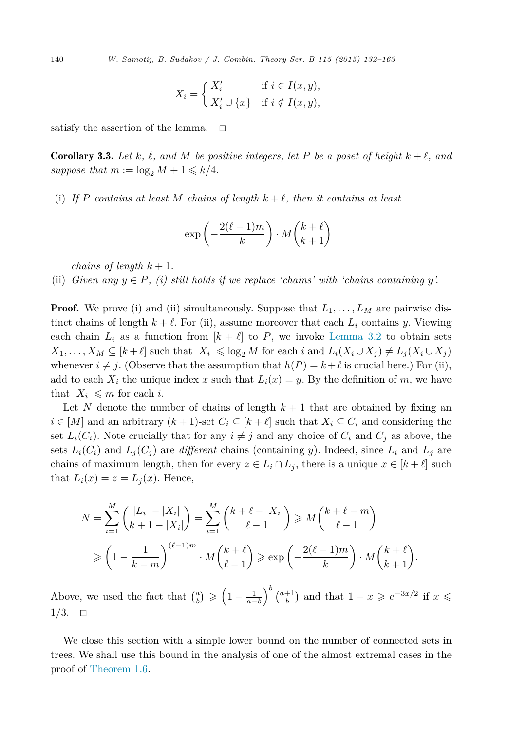<span id="page-8-0"></span>140 *W. Samotij, B. Sudakov / J. Combin. Theory Ser. B 115 (2015) 132–163*

$$
X_i = \begin{cases} X'_i & \text{if } i \in I(x, y), \\ X'_i \cup \{x\} & \text{if } i \notin I(x, y), \end{cases}
$$

satisfy the assertion of the lemma.  $\square$ 

**Corollary 3.3.** Let  $k, \ell, \text{ and } M$  be positive integers, let P be a poset of height  $k + \ell, \text{ and }$ suppose that  $m := \log_2 M + 1 \leq k/4$ .

(i) If P contains at least M chains of length  $k + \ell$ , then it contains at least

$$
\exp\left(-\frac{2(\ell-1)m}{k}\right) \cdot M\binom{k+\ell}{k+1}
$$

*chains of length*  $k + 1$ *.* 

(ii) *Given* any  $y \in P$ *, (i) still holds* if we replace *'chains'* with *'chains containing y*'.

**Proof.** We prove (i) and (ii) simultaneously. Suppose that  $L_1, \ldots, L_M$  are pairwise distinct chains of length  $k + \ell$ . For (ii), assume moreover that each  $L_i$  contains *y*. Viewing each chain  $L_i$  as a function from  $[k + \ell]$  to P, we invoke [Lemma 3.2](#page-7-0) to obtain sets  $X_1, \ldots, X_M \subseteq [k+\ell]$  such that  $|X_i| \leq \log_2 M$  for each i and  $L_i(X_i \cup X_j) \neq L_j(X_i \cup X_j)$ whenever  $i \neq j$ . (Observe that the assumption that  $h(P) = k + \ell$  is crucial here.) For (ii), add to each  $X_i$  the unique index x such that  $L_i(x) = y$ . By the definition of m, we have that  $|X_i| \leq m$  for each *i*.

Let N denote the number of chains of length  $k+1$  that are obtained by fixing an  $i \in [M]$  and an arbitrary  $(k+1)$ -set  $C_i \subseteq [k+\ell]$  such that  $X_i \subseteq C_i$  and considering the set  $L_i(C_i)$ . Note crucially that for any  $i \neq j$  and any choice of  $C_i$  and  $C_j$  as above, the sets  $L_i(C_i)$  and  $L_j(C_j)$  are *different* chains (containing *y*). Indeed, since  $L_i$  and  $L_j$  are chains of maximum length, then for every  $z \in L_i \cap L_j$ , there is a unique  $x \in [k + \ell]$  such that  $L_i(x) = z = L_j(x)$ . Hence,

$$
N = \sum_{i=1}^{M} { |L_i| - |X_i| \choose k+1 - |X_i|} = \sum_{i=1}^{M} {k + \ell - |X_i| \choose \ell-1} \ge M {k + \ell - m \choose \ell-1}
$$
  

$$
\ge \left(1 - \frac{1}{k-m}\right)^{(\ell-1)m} \cdot M {k + \ell \choose \ell-1} \ge \exp\left(-\frac{2(\ell-1)m}{k}\right) \cdot M {k + \ell \choose k+1}.
$$

Above, we used the fact that  $\binom{a}{b} \geqslant \left(1 - \frac{1}{a - b}\right)$  $\int_{a}^{b} \binom{a+1}{b}$  and that  $1-x \geqslant e^{-3x/2}$  if  $x \leqslant$  $1/3. \quad \Box$ 

We close this section with a simple lower bound on the number of connected sets in trees. We shall use this bound in the analysis of one of the almost extremal cases in the proof of [Theorem 1.6.](#page-4-0)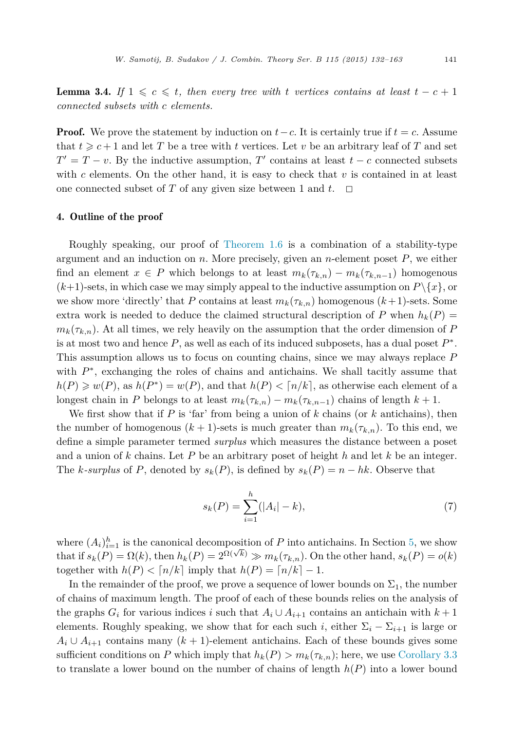<span id="page-9-0"></span>**Lemma 3.4.** *If*  $1 \leq c \leq t$ , *then every tree with t vertices contains at least*  $t - c + 1$ *connected subsets with c elements.*

**Proof.** We prove the statement by induction on  $t - c$ . It is certainly true if  $t = c$ . Assume that  $t \geqslant c+1$  and let *T* be a tree with *t* vertices. Let *v* be an arbitrary leaf of *T* and set  $T' = T - v$ . By the inductive assumption, *T'* contains at least  $t - c$  connected subsets with *c* elements. On the other hand, it is easy to check that *v* is contained in at least one connected subset of *T* of any given size between 1 and  $t$ .  $\Box$ 

### 4. Outline of the proof

Roughly speaking, our proof of [Theorem 1.6](#page-4-0) is a combination of a stability-type argument and an induction on *n*. More precisely, given an *n*-element poset *P*, we either find an element  $x \in P$  which belongs to at least  $m_k(\tau_{k,n}) - m_k(\tau_{k,n-1})$  homogenous  $(k+1)$ -sets, in which case we may simply appeal to the inductive assumption on  $P \setminus \{x\}$ , or we show more 'directly' that *P* contains at least  $m_k(\tau_{k,n})$  homogenous  $(k+1)$ -sets. Some extra work is needed to deduce the claimed structural description of P when  $h_k(P)$  $m_k(\tau_k,n)$ . At all times, we rely heavily on the assumption that the order dimension of *P* is at most two and hence *P*, as well as each of its induced subposets, has a dual poset *P*∗. This assumption allows us to focus on counting chains, since we may always replace *P* with  $P^*$ , exchanging the roles of chains and antichains. We shall tacitly assume that  $h(P) \geq w(P)$ , as  $h(P^*) = w(P)$ , and that  $h(P) < \lceil n/k \rceil$ , as otherwise each element of a longest chain in *P* belongs to at least  $m_k(\tau_{k,n}) - m_k(\tau_{k,n-1})$  chains of length  $k+1$ .

We first show that if *P* is 'far' from being a union of *k* chains (or *k* antichains), then the number of homogenous  $(k + 1)$ -sets is much greater than  $m_k(\tau_k,n)$ . To this end, we define a simple parameter termed *surplus* which measures the distance between a poset and a union of *k* chains. Let *P* be an arbitrary poset of height *h* and let *k* be an integer. The *k*-surplus of *P*, denoted by  $s_k(P)$ , is defined by  $s_k(P) = n - hk$ . Observe that

$$
s_k(P) = \sum_{i=1}^h (|A_i| - k),\tag{7}
$$

where  $(A_i)_{i=1}^h$  is the canonical decomposition of *P* into antichains. In Section [5,](#page-10-0) we show that if  $s_k(P) = \Omega(k)$ , then  $h_k(P) = 2^{\Omega(\sqrt{k})} \gg m_k(\tau_{k,n})$ . On the other hand,  $s_k(P) = o(k)$ together with  $h(P) < [n/k]$  imply that  $h(P) = [n/k] - 1$ .

In the remainder of the proof, we prove a sequence of lower bounds on  $\Sigma_1$ , the number of chains of maximum length. The proof of each of these bounds relies on the analysis of the graphs  $G_i$  for various indices *i* such that  $A_i \cup A_{i+1}$  contains an antichain with  $k+1$ elements. Roughly speaking, we show that for each such *i*, either  $\Sigma_i - \Sigma_{i+1}$  is large or  $A_i \cup A_{i+1}$  contains many  $(k+1)$ -element antichains. Each of these bounds gives some sufficient conditions on *P* which imply that  $h_k(P) > m_k(\tau_{k,n})$ ; here, we use [Corollary 3.3](#page-8-0) to translate a lower bound on the number of chains of length *h*(*P*) into a lower bound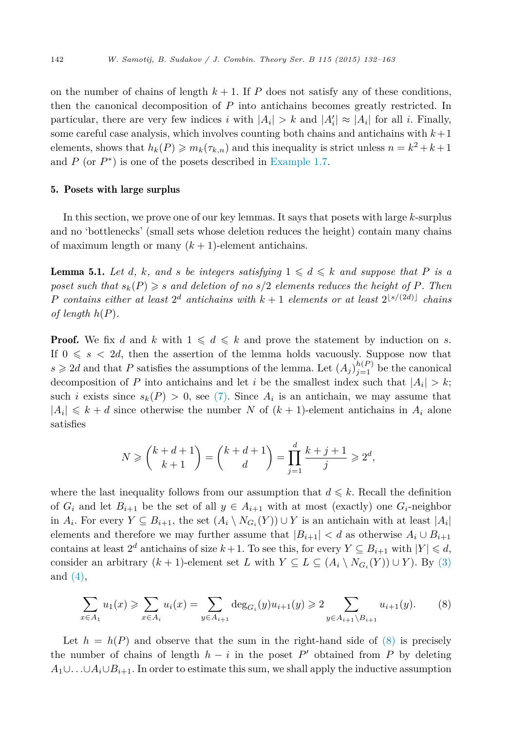<span id="page-10-0"></span>on the number of chains of length  $k + 1$ . If  $P$  does not satisfy any of these conditions, then the canonical decomposition of *P* into antichains becomes greatly restricted. In particular, there are very few indices *i* with  $|A_i| > k$  and  $|A'_i| \approx |A_i|$  for all *i*. Finally, some careful case analysis, which involves counting both chains and antichains with  $k+1$ elements, shows that  $h_k(P) \geq m_k(\tau_{k,n})$  and this inequality is strict unless  $n = k^2 + k + 1$ and  $P$  (or  $P^*$ ) is one of the posets described in [Example 1.7.](#page-4-0)

### 5. Posets with large surplus

In this section, we prove one of our key lemmas. It says that posets with large *k*-surplus and no 'bottlenecks' (small sets whose deletion reduces the height) contain many chains of maximum length or many  $(k+1)$ -element antichains.

**Lemma 5.1.** Let *d*, *k*, and *s* be integers satisfying  $1 \leq d \leq k$  and suppose that P is a poset such that  $s_k(P) \geqslant s$  and deletion of no  $s/2$  elements reduces the height of P. Then *P contains either at least*  $2^d$  *antichains with*  $k + 1$  *elements or at least*  $2^{\lfloor s/(2d) \rfloor}$  *chains of length*  $h(P)$ *.* 

**Proof.** We fix *d* and *k* with  $1 \leq d \leq k$  and prove the statement by induction on *s*. If  $0 \leq s \leq 2d$ , then the assertion of the lemma holds vacuously. Suppose now that  $s \geq 2d$  and that *P* satisfies the assumptions of the lemma. Let  $(A_j)_{j=1}^{h(P)}$  be the canonical decomposition of *P* into antichains and let *i* be the smallest index such that  $|A_i| > k$ ; such *i* exists since  $s_k(P) > 0$ , see [\(7\).](#page-9-0) Since  $A_i$  is an antichain, we may assume that  $|A_i| \leq k+d$  since otherwise the number *N* of  $(k+1)$ -element antichains in  $A_i$  alone satisfies

$$
N \ge \binom{k+d+1}{k+1} = \binom{k+d+1}{d} = \prod_{j=1}^d \frac{k+j+1}{j} \ge 2^d,
$$

where the last inequality follows from our assumption that  $d \leq k$ . Recall the definition of  $G_i$  and let  $B_{i+1}$  be the set of all  $y \in A_{i+1}$  with at most (exactly) one  $G_i$ -neighbor in *A*<sup>*i*</sup>. For every *Y* ⊆ *B*<sub>*i*+1</sub>, the set  $(A_i \setminus N_{G_i}(Y)) \cup Y$  is an antichain with at least  $|A_i|$ elements and therefore we may further assume that  $|B_{i+1}| < d$  as otherwise  $A_i \cup B_{i+1}$ contains at least  $2^d$  antichains of size  $k+1$ . To see this, for every  $Y \subseteq B_{i+1}$  with  $|Y| \le d$ , consider an arbitrary  $(k + 1)$ -element set *L* with  $Y \subseteq L \subseteq (A_i \setminus N_{G_i}(Y)) \cup Y$ ). By [\(3\)](#page-6-0) and [\(4\),](#page-6-0)

$$
\sum_{x \in A_1} u_1(x) \geqslant \sum_{x \in A_i} u_i(x) = \sum_{y \in A_{i+1}} \deg_{G_i}(y) u_{i+1}(y) \geqslant 2 \sum_{y \in A_{i+1} \setminus B_{i+1}} u_{i+1}(y).
$$
 (8)

Let  $h = h(P)$  and observe that the sum in the right-hand side of  $(8)$  is precisely the number of chains of length  $h - i$  in the poset  $P'$  obtained from  $P$  by deleting  $A_1 \cup \ldots \cup A_i \cup B_{i+1}$ . In order to estimate this sum, we shall apply the inductive assumption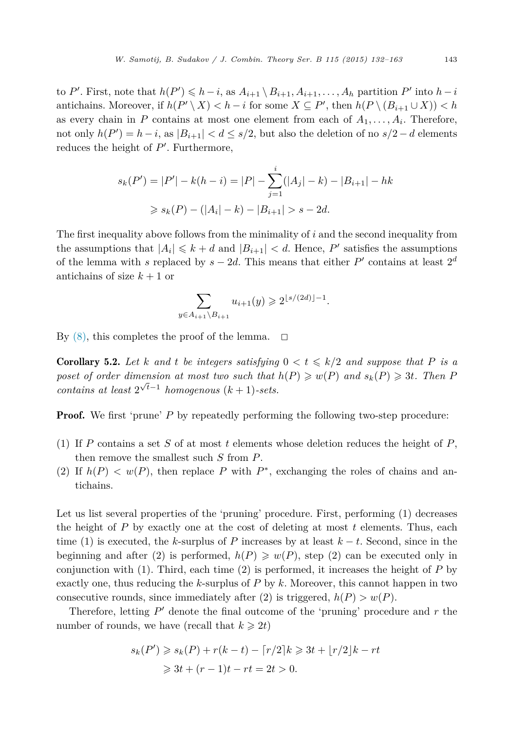<span id="page-11-0"></span>to *P*'. First, note that  $h(P') \leq h - i$ , as  $A_{i+1} \setminus B_{i+1}, A_{i+1}, \ldots, A_h$  partition  $P'$  into  $h - i$ antichains. Moreover, if  $h(P' \setminus X) < h - i$  for some  $X \subseteq P'$ , then  $h(P \setminus (B_{i+1} \cup X)) < h$ as every chain in *P* contains at most one element from each of  $A_1, \ldots, A_i$ . Therefore, not only  $h(P') = h - i$ , as  $|B_{i+1}| < d \leq s/2$ , but also the deletion of no  $s/2 - d$  elements reduces the height of *P* . Furthermore,

$$
s_k(P') = |P'| - k(h - i) = |P| - \sum_{j=1}^i (|A_j| - k) - |B_{i+1}| - hk
$$
  
\n
$$
\ge s_k(P) - (|A_i| - k) - |B_{i+1}| > s - 2d.
$$

The first inequality above follows from the minimality of *i* and the second inequality from the assumptions that  $|A_i| \leq k + d$  and  $|B_{i+1}| < d$ . Hence, P' satisfies the assumptions of the lemma with *s* replaced by  $s - 2d$ . This means that either P' contains at least  $2^d$ antichains of size  $k + 1$  or

$$
\sum_{y \in A_{i+1} \setminus B_{i+1}} u_{i+1}(y) \geq 2^{\lfloor s/(2d) \rfloor - 1}.
$$

By  $(8)$ , this completes the proof of the lemma.  $\Box$ 

**Corollary 5.2.** Let *k* and *t* be integers satisfying  $0 < t \leq k/2$  and suppose that P is a poset of order dimension at most two such that  $h(P) \geqslant w(P)$  and  $s_k(P) \geqslant 3t$ . Then F  $\frac{1}{\pi}$  *contains at least*  $2^{\sqrt{t}-1}$  *homogenous* (*k* + 1)*-sets.* 

**Proof.** We first 'prune' P by repeatedly performing the following two-step procedure:

- (1) If *P* contains a set *S* of at most *t* elements whose deletion reduces the height of *P*, then remove the smallest such *S* from *P*.
- (2) If  $h(P) < w(P)$ , then replace P with  $P^*$ , exchanging the roles of chains and antichains.

Let us list several properties of the 'pruning' procedure. First, performing (1) decreases the height of *P* by exactly one at the cost of deleting at most *t* elements. Thus, each time (1) is executed, the *k*-surplus of *P* increases by at least *k* − *t*. Second, since in the beginning and after (2) is performed,  $h(P) \geq w(P)$ , step (2) can be executed only in conjunction with (1). Third, each time (2) is performed, it increases the height of *P* by exactly one, thus reducing the *k*-surplus of *P* by *k*. Moreover, this cannot happen in two consecutive rounds, since immediately after (2) is triggered,  $h(P) > w(P)$ .

Therefore, letting  $P'$  denote the final outcome of the 'pruning' procedure and  $r$  the number of rounds, we have (recall that  $k \geqslant 2t$ )

$$
s_k(P') \geqslant s_k(P) + r(k-t) - \lceil r/2 \rceil k \geqslant 3t + \lfloor r/2 \rfloor k - rt
$$
  

$$
\geqslant 3t + (r-1)t - rt = 2t > 0.
$$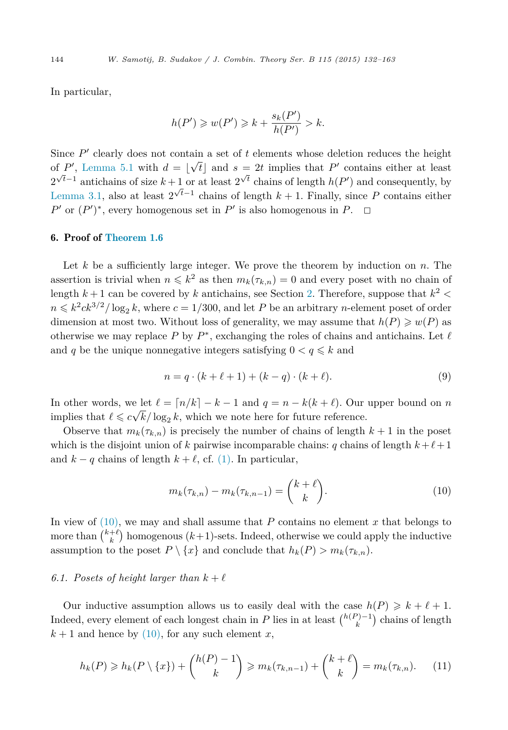<span id="page-12-0"></span>In particular,

$$
h(P') \geq w(P') \geq k + \frac{s_k(P')}{h(P')} > k.
$$

Since  $P'$  clearly does not contain a set of  $t$  elements whose deletion reduces the height of *P*', [Lemma 5.1](#page-10-0) with  $d = \lfloor \sqrt{t} \rfloor$  and  $s = 2t$  implies that *P*' contains either at least  $2^{\sqrt{t}-1}$  antichains of size  $k+1$  or at least  $2^{\sqrt{t}}$  chains of length  $h(P')$  and consequently, by [Lemma 3.1,](#page-7-0) also at least  $2^{\sqrt{t}-1}$  chains of length  $k+1$ . Finally, since P contains either *P*<sup> $\prime$ </sup> or  $(P')^*$ , every homogenous set in *P*<sup> $\prime$ </sup> is also homogenous in *P*.  $\Box$ 

## 6. Proof of [Theorem 1.6](#page-4-0)

Let *k* be a sufficiently large integer. We prove the theorem by induction on *n*. The assertion is trivial when  $n \leq k^2$  as then  $m_k(\tau_{k,n}) = 0$  and every poset with no chain of length  $k+1$  can be covered by  $k$  antichains, see Section [2.](#page-5-0) Therefore, suppose that  $k^2$  <  $n \leq k^2 c k^{3/2} / \log_2 k$ , where  $c = 1/300$ , and let *P* be an arbitrary *n*-element poset of order dimension at most two. Without loss of generality, we may assume that  $h(P) \geq w(P)$  as otherwise we may replace *P* by  $P^*$ , exchanging the roles of chains and antichains. Let  $\ell$ and *q* be the unique nonnegative integers satisfying  $0 < q \leq k$  and

$$
n = q \cdot (k + \ell + 1) + (k - q) \cdot (k + \ell).
$$
 (9)

In other words, we let  $\ell = \lceil n/k \rceil - k - 1$  and  $q = n - k(k + \ell)$ . Our upper bound on *n* implies that  $\ell \leq c\sqrt{k}/\log_2 k$ , which we note here for future reference.

Observe that  $m_k(\tau_{k,n})$  is precisely the number of chains of length  $k+1$  in the poset which is the disjoint union of *k* pairwise incomparable chains: *q* chains of length  $k + \ell + 1$ and  $k - q$  chains of length  $k + \ell$ , cf. [\(1\).](#page-2-0) In particular,

$$
m_k(\tau_{k,n}) - m_k(\tau_{k,n-1}) = \binom{k+\ell}{k}.
$$
 (10)

In view of  $(10)$ , we may and shall assume that  $P$  contains no element  $x$  that belongs to more than  $\binom{k+\ell}{k}$  homogenous  $(k+1)$ -sets. Indeed, otherwise we could apply the inductive assumption to the poset  $P \setminus \{x\}$  and conclude that  $h_k(P) > m_k(\tau_{k,n})$ .

## 6.1. Posets of height larger than  $k + \ell$

Our inductive assumption allows us to easily deal with the case  $h(P) \geq k + \ell + 1$ . Indeed, every element of each longest chain in *P* lies in at least  $\binom{h(P)-1}{k}$  chains of length  $k+1$  and hence by (10), for any such element *x*,

$$
h_k(P) \geq h_k(P \setminus \{x\}) + \binom{h(P)-1}{k} \geq m_k(\tau_{k,n-1}) + \binom{k+\ell}{k} = m_k(\tau_{k,n}).\tag{11}
$$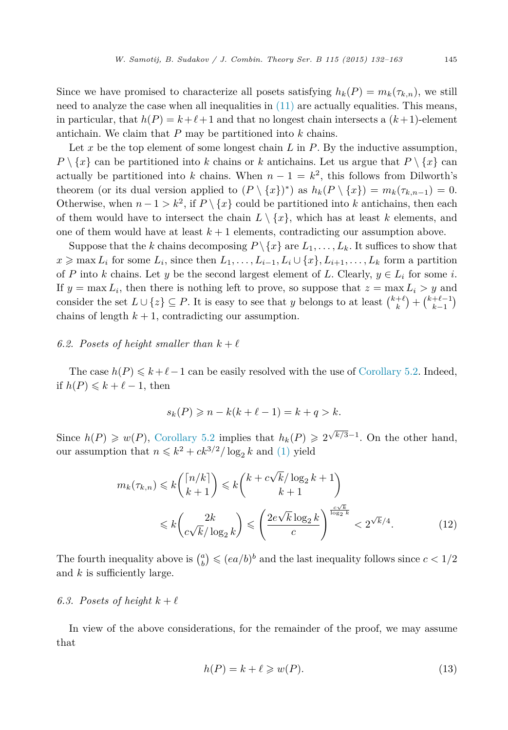<span id="page-13-0"></span>Since we have promised to characterize all posets satisfying  $h_k(P) = m_k(\tau_{k,n})$ , we still need to analyze the case when all inequalities in [\(11\)](#page-12-0) are actually equalities. This means, in particular, that  $h(P) = k + \ell + 1$  and that no longest chain intersects a  $(k+1)$ -element antichain. We claim that *P* may be partitioned into *k* chains.

Let *x* be the top element of some longest chain *L* in *P*. By the inductive assumption,  $P \setminus \{x\}$  can be partitioned into *k* chains or *k* antichains. Let us argue that  $P \setminus \{x\}$  can actually be partitioned into *k* chains. When  $n-1 = k^2$ , this follows from Dilworth's theorem (or its dual version applied to  $(P \setminus \{x\})^*$ ) as  $h_k(P \setminus \{x\}) = m_k(\tau_{k,n-1}) = 0$ . Otherwise, when  $n-1 > k^2$ , if  $P \setminus \{x\}$  could be partitioned into *k* antichains, then each of them would have to intersect the chain  $L \setminus \{x\}$ , which has at least *k* elements, and one of them would have at least  $k+1$  elements, contradicting our assumption above.

Suppose that the *k* chains decomposing  $P \setminus \{x\}$  are  $L_1, \ldots, L_k$ . It suffices to show that  $x \ge \max L_i$  for some  $L_i$ , since then  $L_1, \ldots, L_{i-1}, L_i \cup \{x\}, L_{i+1}, \ldots, L_k$  form a partition of *P* into *k* chains. Let *y* be the second largest element of *L*. Clearly,  $y \in L_i$  for some *i*. If  $y = \max L_i$ , then there is nothing left to prove, so suppose that  $z = \max L_i > y$  and consider the set  $L \cup \{z\} \subseteq P$ . It is easy to see that *y* belongs to at least  $\binom{k+\ell}{k} + \binom{k+\ell-1}{k-1}$ chains of length  $k + 1$ , contradicting our assumption.

## 6.2. Posets of height smaller than  $k + \ell$

The case  $h(P) \leq k+\ell-1$  can be easily resolved with the use of [Corollary 5.2.](#page-11-0) Indeed, if  $h(P) \leq k + \ell - 1$ , then

$$
s_k(P) \geqslant n - k(k + \ell - 1) = k + q > k.
$$

Since  $h(P) \geq w(P)$ , [Corollary 5.2](#page-11-0) implies that  $h_k(P) \geq 2^{\sqrt{k/3}-1}$ . On the other hand, our assumption that  $n \leq k^2 + ck^{3/2}/\log_2 k$  and [\(1\)](#page-2-0) yield

$$
m_k(\tau_{k,n}) \le k {n/k \choose k+1} \le k {k + c\sqrt{k}/\log_2 k + 1 \choose k+1} \le k \left(\frac{2k}{c\sqrt{k}/\log_2 k}\right) \le \left(\frac{2e\sqrt{k}\log_2 k}{c}\right)^{\frac{c\sqrt{k}}{\log_2 k}} < 2^{\sqrt{k}/4}.
$$
 (12)

The fourth inequality above is  $\binom{a}{b} \leqslant (ea/b)^b$  and the last inequality follows since  $c < 1/2$ and *k* is sufficiently large.

## 6.3. Posets of height  $k + \ell$

In view of the above considerations, for the remainder of the proof, we may assume that

$$
h(P) = k + \ell \geq w(P). \tag{13}
$$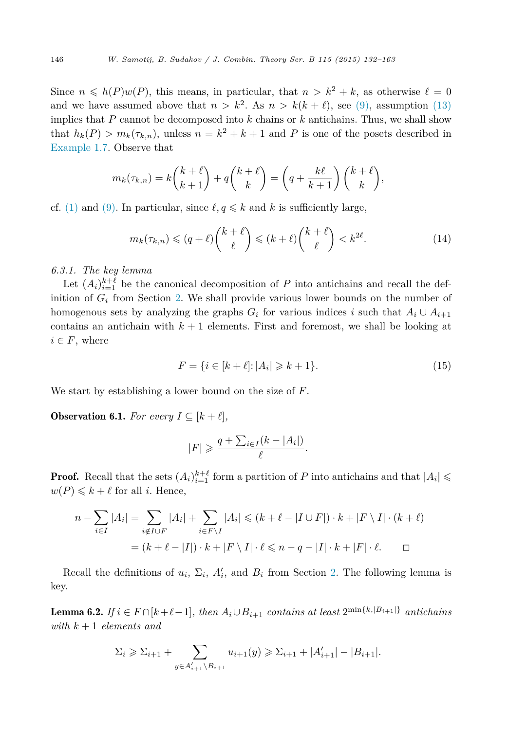<span id="page-14-0"></span>Since  $n \leq h(P)w(P)$ , this means, in particular, that  $n > k^2 + k$ , as otherwise  $\ell = 0$ and we have assumed above that  $n > k^2$ . As  $n > k(k + \ell)$ , see [\(9\),](#page-12-0) assumption [\(13\)](#page-13-0) implies that *P* cannot be decomposed into *k* chains or *k* antichains. Thus, we shall show that  $h_k(P) > m_k(\tau_{k,n})$ , unless  $n = k^2 + k + 1$  and P is one of the posets described in [Example 1.7.](#page-4-0) Observe that

$$
m_k(\tau_{k,n}) = k \binom{k+\ell}{k+1} + q \binom{k+\ell}{k} = \left(q + \frac{k\ell}{k+1}\right) \binom{k+\ell}{k},
$$

cf. [\(1\)](#page-2-0) and [\(9\).](#page-12-0) In particular, since  $\ell, q \leq k$  and k is sufficiently large,

$$
m_k(\tau_{k,n}) \leqslant (q+\ell) \binom{k+\ell}{\ell} \leqslant (k+\ell) \binom{k+\ell}{\ell} < k^{2\ell}.\tag{14}
$$

*6.3.1. The key lemma*

Let  $(A_i)_{i=1}^{k+\ell}$  be the canonical decomposition of *P* into antichains and recall the definition of  $G_i$  from Section [2.](#page-5-0) We shall provide various lower bounds on the number of homogenous sets by analyzing the graphs  $G_i$  for various indices *i* such that  $A_i \cup A_{i+1}$ contains an antichain with  $k+1$  elements. First and foremost, we shall be looking at  $i \in F$ , where

$$
F = \{ i \in [k + \ell] : |A_i| \ge k + 1 \}. \tag{15}
$$

We start by establishing a lower bound on the size of *F*.

**Observation 6.1.** *For every*  $I \subseteq [k + \ell]$ ,

$$
|F| \geqslant \frac{q + \sum_{i \in I} (k - |A_i|)}{\ell}.
$$

**Proof.** Recall that the sets  $(A_i)_{i=1}^{k+\ell}$  form a partition of *P* into antichains and that  $|A_i| \leq$  $w(P) \leq k + \ell$  for all *i*. Hence,

$$
n - \sum_{i \in I} |A_i| = \sum_{i \notin I \cup F} |A_i| + \sum_{i \in F \setminus I} |A_i| \le (k + \ell - |I \cup F|) \cdot k + |F \setminus I| \cdot (k + \ell)
$$

$$
= (k + \ell - |I|) \cdot k + |F \setminus I| \cdot \ell \le n - q - |I| \cdot k + |F| \cdot \ell. \qquad \Box
$$

Recall the definitions of  $u_i$ ,  $\Sigma_i$ ,  $A'_i$ , and  $B_i$  from Section [2.](#page-5-0) The following lemma is key.

**Lemma 6.2.** *If*  $i \in F \cap [k+\ell-1]$ *, then*  $A_i \cup B_{i+1}$  *contains at least*  $2^{\min\{k, |B_{i+1}|\}}$  *antichains with k* + 1 *elements and*

$$
\Sigma_i \geqslant \Sigma_{i+1} + \sum_{y \in A'_{i+1} \setminus B_{i+1}} u_{i+1}(y) \geqslant \Sigma_{i+1} + |A'_{i+1}| - |B_{i+1}|.
$$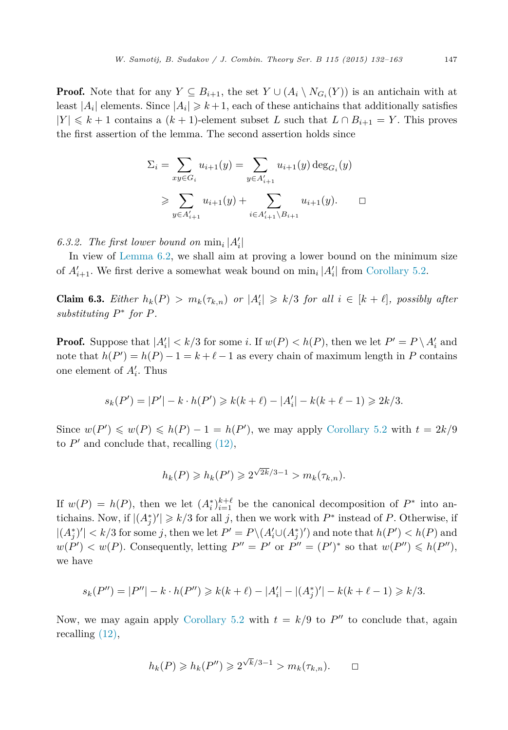**Proof.** Note that for any  $Y \subseteq B_{i+1}$ , the set  $Y \cup (A_i \setminus N_{G_i}(Y))$  is an antichain with at least  $|A_i|$  elements. Since  $|A_i| \geq k+1$ , each of these antichains that additionally satisfies  $|Y|$  ≤  $k+1$  contains a  $(k+1)$ -element subset *L* such that  $L ∩ B_{i+1} = Y$ . This proves the first assertion of the lemma. The second assertion holds since

$$
\Sigma_{i} = \sum_{xy \in G_{i}} u_{i+1}(y) = \sum_{y \in A'_{i+1}} u_{i+1}(y) \deg_{G_{i}}(y)
$$
  

$$
\geqslant \sum_{y \in A'_{i+1}} u_{i+1}(y) + \sum_{i \in A'_{i+1} \setminus B_{i+1}} u_{i+1}(y). \qquad \Box
$$

## *6.3.2. The first lower bound on*  $\min_i |A'_i|$

In view of [Lemma 6.2,](#page-14-0) we shall aim at proving a lower bound on the minimum size of  $A'_{i+1}$ . We first derive a somewhat weak bound on  $\min_i |A'_i|$  from [Corollary 5.2.](#page-11-0)

**Claim 6.3.** Either  $h_k(P) > m_k(\tau_{k,n})$  or  $|A'_i| \geq k/3$  for all  $i \in [k + \ell]$ , possibly after *substituting P*<sup>∗</sup> *for P.*

**Proof.** Suppose that  $|A'_i| < k/3$  for some *i*. If  $w(P) < h(P)$ , then we let  $P' = P \setminus A'_i$  and note that  $h(P') = h(P) - 1 = k + \ell - 1$  as every chain of maximum length in *P* contains one element of *A <sup>i</sup>*. Thus

$$
s_k(P') = |P'| - k \cdot h(P') \ge k(k+\ell) - |A'_i| - k(k+\ell-1) \ge 2k/3.
$$

Since  $w(P') \leq w(P) \leq h(P) - 1 = h(P')$ , we may apply [Corollary 5.2](#page-11-0) with  $t = 2k/9$ to  $P'$  and conclude that, recalling  $(12)$ ,

$$
h_k(P) \ge h_k(P') \ge 2^{\sqrt{2k}/3 - 1} > m_k(\tau_{k,n}).
$$

If  $w(P) = h(P)$ , then we let  $(A_i^*)_{i=1}^{k+\ell}$  be the canonical decomposition of  $P^*$  into antichains. Now, if  $|(A_j^*)'| \geq k/3$  for all *j*, then we work with  $P^*$  instead of *P*. Otherwise, if  $|(A_j^*)'| < k/3$  for some *j*, then we let  $P' = P \setminus (A_i' \cup (A_j^*)')$  and note that  $h(P') < h(P)$  and *w*(*P*<sup> $\prime$ </sup>) < *w*(*P*). Consequently, letting *P*<sup> $\prime\prime$ </sup> = *P*<sup> $\prime$ </sup> or *P*<sup> $\prime\prime$ </sup> = (*P*<sup> $\prime$ </sup>)<sup>\*</sup> so that *w*(*P*<sup> $\prime\prime$ </sup>) ≤ *h*(*P*<sup> $\prime\prime$ </sup>), we have

$$
s_k(P'') = |P''| - k \cdot h(P'') \ge k(k+\ell) - |A'_i| - |(A_j^*)'| - k(k+\ell-1) \ge k/3.
$$

Now, we may again apply [Corollary 5.2](#page-11-0) with  $t = k/9$  to  $P''$  to conclude that, again recalling [\(12\),](#page-13-0)

$$
h_k(P) \geqslant h_k(P'') \geqslant 2^{\sqrt{k}/3 - 1} > m_k(\tau_{k,n}). \qquad \Box
$$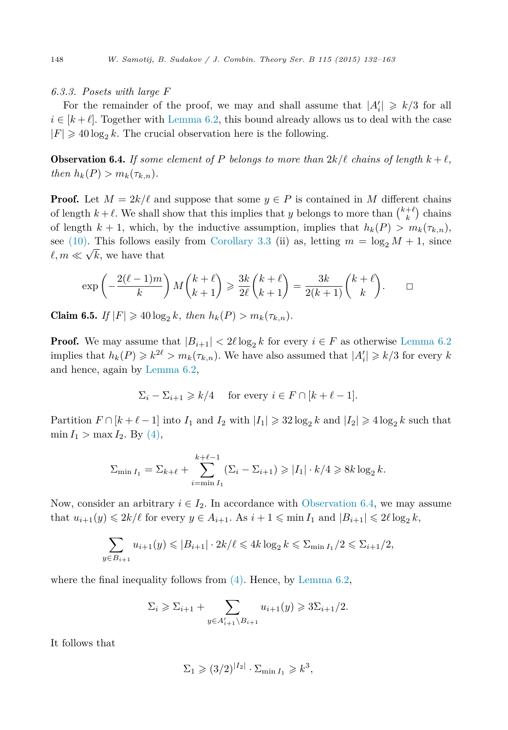### <span id="page-16-0"></span>*6.3.3. Posets with large F*

For the remainder of the proof, we may and shall assume that  $|A'_i| \ge k/3$  for all  $i \in [k+\ell]$ . Together with [Lemma 6.2,](#page-14-0) this bound already allows us to deal with the case  $|F| \geq 40 \log_2 k$ . The crucial observation here is the following.

**Observation 6.4.** If some element of P belongs to more than  $2k/\ell$  chains of length  $k+\ell$ , *then*  $h_k(P) > m_k(\tau_{k,n})$ .

**Proof.** Let  $M = 2k/\ell$  and suppose that some  $y \in P$  is contained in M different chains of length  $k + \ell$ . We shall show that this implies that *y* belongs to more than  $\binom{k+\ell}{k}$  chains of length  $k + 1$ , which, by the inductive assumption, implies that  $h_k(P) > m_k(\tau_{k,n})$ , see [\(10\).](#page-12-0) This follows easily from [Corollary 3.3](#page-8-0) (ii) as, letting  $m = \log_2 M + 1$ , since  $\ell, m \ll \sqrt{k}$ , we have that

$$
\exp\left(-\frac{2(\ell-1)m}{k}\right)M\binom{k+\ell}{k+1}\geqslant \frac{3k}{2\ell}\binom{k+\ell}{k+1}=\frac{3k}{2(k+1)}\binom{k+\ell}{k}.\qquad \Box
$$

**Claim 6.5.** *If*  $|F| \ge 40 \log_2 k$ *, then*  $h_k(P) > m_k(\tau_{k,n})$ *.* 

**Proof.** We may assume that  $|B_{i+1}| < 2\ell \log_2 k$  for every  $i \in F$  as otherwise [Lemma 6.2](#page-14-0) implies that  $h_k(P) \geq k^{2\ell} > m_k(\tau_{k,n})$ . We have also assumed that  $|A'_i| \geq k/3$  for every  $k$ and hence, again by [Lemma 6.2,](#page-14-0)

$$
\Sigma_i - \Sigma_{i+1} \ge k/4 \quad \text{ for every } i \in F \cap [k+\ell-1].
$$

Partition  $F \cap [k + \ell - 1]$  into  $I_1$  and  $I_2$  with  $|I_1| \geq 32 \log_2 k$  and  $|I_2| \geq 4 \log_2 k$  such that  $\min I_1 > \max I_2$ . By [\(4\),](#page-6-0)

$$
\sum_{\min I_1} \sum_{i=\min I_1}^{k+\ell-1} (\sum_i - \sum_{i+1}) \ge |I_1| \cdot k/4 \ge 8k \log_2 k.
$$

Now, consider an arbitrary  $i \in I_2$ . In accordance with Observation 6.4, we may assume that  $u_{i+1}(y) \leq 2k/\ell$  for every  $y \in A_{i+1}$ . As  $i+1 \leq \min I_1$  and  $|B_{i+1}| \leq 2\ell \log_2 k$ ,

$$
\sum_{y \in B_{i+1}} u_{i+1}(y) \leq |B_{i+1}| \cdot 2k/\ell \leq 4k \log_2 k \leq \sum_{\min I_1} / 2 \leq \sum_{i+1} / 2,
$$

where the final inequality follows from  $(4)$ . Hence, by [Lemma 6.2,](#page-14-0)

$$
\Sigma_i \ge \Sigma_{i+1} + \sum_{y \in A'_{i+1} \setminus B_{i+1}} u_{i+1}(y) \ge 3\Sigma_{i+1}/2.
$$

It follows that

$$
\Sigma_1 \geqslant (3/2)^{|I_2|} \cdot \Sigma_{\min I_1} \geqslant k^3,
$$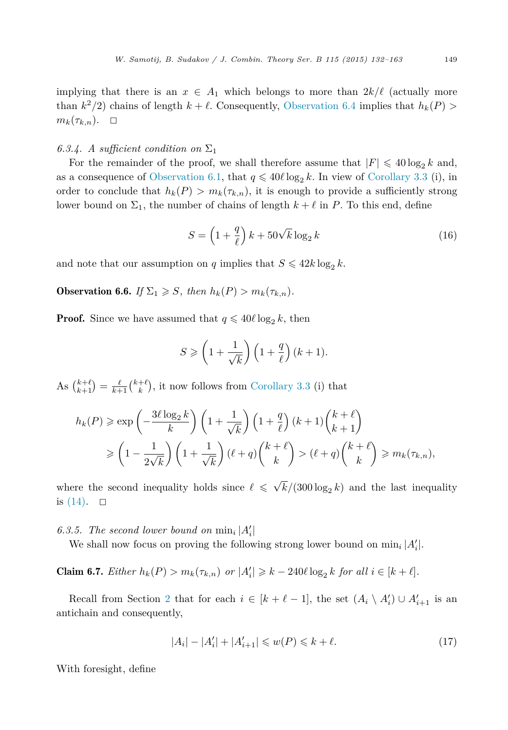<span id="page-17-0"></span>implying that there is an  $x \in A_1$  which belongs to more than  $2k/\ell$  (actually more than  $k^2/2$  chains of length  $k + \ell$ . Consequently, [Observation 6.4](#page-16-0) implies that  $h_k(P)$  $m_k(\tau_{k,n})$ .  $\Box$ 

## *6.3.4. A sufficient condition on*  $\Sigma_1$

For the remainder of the proof, we shall therefore assume that  $|F| \leq 40 \log_2 k$  and, as a consequence of [Observation 6.1,](#page-14-0) that  $q \leq 40 \ell \log_2 k$ . In view of [Corollary 3.3](#page-8-0) (i), in order to conclude that  $h_k(P) > m_k(\tau_{k,n})$ , it is enough to provide a sufficiently strong lower bound on  $\Sigma_1$ , the number of chains of length  $k + \ell$  in *P*. To this end, define

$$
S = \left(1 + \frac{q}{\ell}\right)k + 50\sqrt{k}\log_2 k\tag{16}
$$

and note that our assumption on *q* implies that  $S \leq 42k \log_2 k$ .

**Observation 6.6.** *If*  $\Sigma_1 \geqslant S$ *, then*  $h_k(P) > m_k(\tau_{k,n})$ *.* 

**Proof.** Since we have assumed that  $q \leq 40\ell \log_2 k$ , then

$$
S \geqslant \left(1 + \frac{1}{\sqrt{k}}\right)\left(1 + \frac{q}{\ell}\right)(k+1).
$$

As  $\binom{k+\ell}{k+1} = \frac{\ell}{k+1} \binom{k+\ell}{k}$ , it now follows from [Corollary 3.3](#page-8-0) (i) that

$$
h_k(P) \ge \exp\left(-\frac{3\ell \log_2 k}{k}\right) \left(1 + \frac{1}{\sqrt{k}}\right) \left(1 + \frac{q}{\ell}\right) (k+1) {k+\ell \choose k+1}
$$
  

$$
\ge \left(1 - \frac{1}{2\sqrt{k}}\right) \left(1 + \frac{1}{\sqrt{k}}\right) (\ell+q) {k+\ell \choose k} > (\ell+q) {k+\ell \choose k} \ge m_k(\tau_{k,n}),
$$

where the second inequality holds since  $\ell \leq \sqrt{k}/(300 \log_2 k)$  and the last inequality is  $(14)$ .  $\Box$ 

*6.3.5.* The second lower bound on  $\min_i |A'_i|$ 

We shall now focus on proving the following strong lower bound on  $\min_i |A'_i|$ .

**Claim 6.7.** *Either*  $h_k(P) > m_k(\tau_{k,n})$  *or*  $|A'_i| \geq k - 240\ell \log_2 k$  *for all*  $i \in [k + \ell]$ *.* 

Recall from Section [2](#page-5-0) that for each  $i \in [k + \ell - 1]$ , the set  $(A_i \setminus A'_i) \cup A'_{i+1}$  is an antichain and consequently,

$$
|A_i| - |A'_i| + |A'_{i+1}| \le w(P) \le k + \ell. \tag{17}
$$

With foresight, define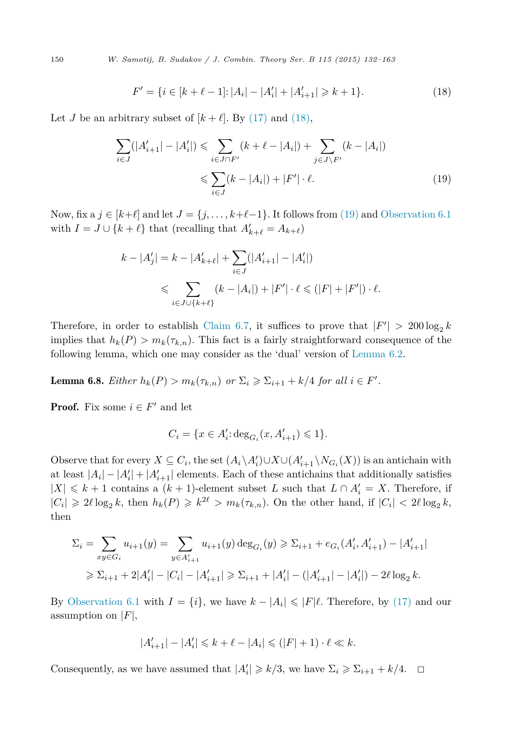<span id="page-18-0"></span>150 *W. Samotij, B. Sudakov / J. Combin. Theory Ser. B 115 (2015) 132–163*

$$
F' = \{ i \in [k + \ell - 1] : |A_i| - |A'_i| + |A'_{i+1}| \ge k + 1 \}. \tag{18}
$$

Let *J* be an arbitrary subset of  $[k + \ell]$ . By [\(17\)](#page-17-0) and (18),

$$
\sum_{i \in J} (|A'_{i+1}| - |A'_{i}|) \leq \sum_{i \in J \cap F'} (k + \ell - |A_{i}|) + \sum_{j \in J \setminus F'} (k - |A_{i}|)
$$
  

$$
\leq \sum_{i \in J} (k - |A_{i}|) + |F'| \cdot \ell.
$$
 (19)

Now, fix a  $j \in [k+\ell]$  and let  $J = \{j, \ldots, k+\ell-1\}$ . It follows from (19) and [Observation 6.1](#page-14-0) with  $I = J \cup \{k + \ell\}$  that (recalling that  $A'_{k+\ell} = A_{k+\ell}$ )

$$
k - |A'_j| = k - |A'_{k+\ell}| + \sum_{i \in J} (|A'_{i+1}| - |A'_i|)
$$
  
\$\leqslant \sum\_{i \in J \cup \{k+\ell\}} (k - |A\_i|) + |F'| \cdot \ell \leqslant (|F| + |F'|) \cdot \ell\$.

Therefore, in order to establish [Claim 6.7,](#page-17-0) it suffices to prove that  $|F'| > 200 \log_2 k$ implies that  $h_k(P) > m_k(\tau_{k,n})$ . This fact is a fairly straightforward consequence of the following lemma, which one may consider as the 'dual' version of [Lemma 6.2.](#page-14-0)

**Lemma 6.8.** *Either*  $h_k(P) > m_k(\tau_{k,n})$  *or*  $\Sigma_i \geqslant \Sigma_{i+1} + k/4$  *for all*  $i \in F'$ *.* 

**Proof.** Fix some  $i \in F'$  and let

$$
C_i = \{ x \in A'_i : \deg_{G_i}(x, A'_{i+1}) \leq 1 \}.
$$

Observe that for every  $X \subseteq C_i$ , the set  $(A_i \setminus A_i') \cup X \cup (A_{i+1}' \setminus N_{G_i}(X))$  is an antichain with at least  $|A_i| - |A'_i| + |A'_{i+1}|$  elements. Each of these antichains that additionally satisfies  $|X|$  ≤ *k* + 1 contains a (*k* + 1)-element subset *L* such that  $L ∩ A'_i = X$ . Therefore, if  $|C_i| \geq 2\ell \log_2 k$ , then  $h_k(P) \geq k^{2\ell} > m_k(\tau_{k,n})$ . On the other hand, if  $|C_i| < 2\ell \log_2 k$ , then

$$
\Sigma_i = \sum_{xy \in G_i} u_{i+1}(y) = \sum_{y \in A'_{i+1}} u_{i+1}(y) \deg_{G_i}(y) \ge \Sigma_{i+1} + e_{G_i}(A'_i, A'_{i+1}) - |A'_{i+1}|
$$
  
\n
$$
\ge \Sigma_{i+1} + 2|A'_i| - |C_i| - |A'_{i+1}| \ge \Sigma_{i+1} + |A'_i| - (|A'_{i+1}| - |A'_i|) - 2\ell \log_2 k.
$$

By [Observation 6.1](#page-14-0) with  $I = \{i\}$ , we have  $k - |A_i| \leq |F|\ell$ . Therefore, by [\(17\)](#page-17-0) and our assumption on |*F*|,

$$
|A'_{i+1}| - |A'_{i}| \le k + \ell - |A_{i}| \le (|F| + 1) \cdot \ell \ll k.
$$

Consequently, as we have assumed that  $|A'_i| \geq k/3$ , we have  $\Sigma_i \geq \Sigma_{i+1} + k/4$ .  $\Box$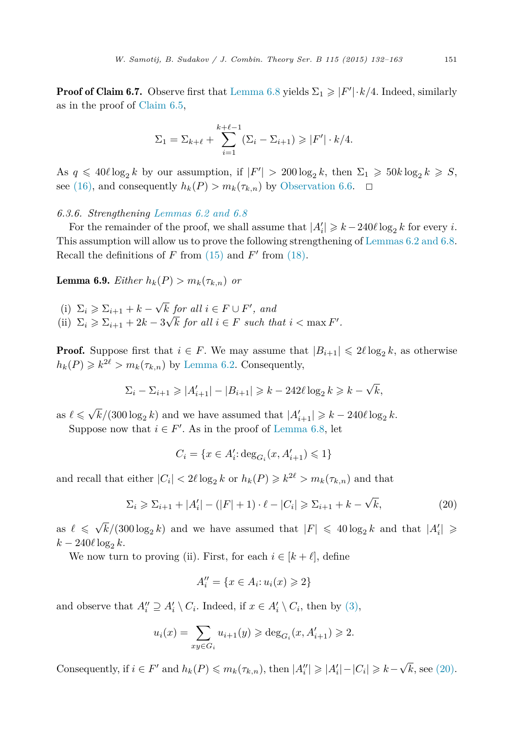<span id="page-19-0"></span>**Proof of Claim 6.7.** Observe first that [Lemma 6.8](#page-18-0) yields  $\Sigma_1 \geqslant |F'| \cdot k/4$ . Indeed, similarly as in the proof of [Claim 6.5,](#page-16-0)

$$
\Sigma_1 = \Sigma_{k+\ell} + \sum_{i=1}^{k+\ell-1} (\Sigma_i - \Sigma_{i+1}) \ge |F'| \cdot k/4.
$$

As  $q \leq 40\ell \log_2 k$  by our assumption, if  $|F'| > 200 \log_2 k$ , then  $\Sigma_1 \geq 50k \log_2 k \geq S$ , see [\(16\),](#page-17-0) and consequently  $h_k(P) > m_k(\tau_{k,n})$  by [Observation 6.6.](#page-17-0)  $\Box$ 

*6.3.6. Strengthening [Lemmas 6.2 and 6.8](#page-14-0)*

For the remainder of the proof, we shall assume that  $|A'_i| \geq k - 240\ell \log_2 k$  for every *i*. This assumption will allow us to prove the following strengthening of [Lemmas 6.2 and 6.8.](#page-14-0) Recall the definitions of  $F$  from  $(15)$  and  $F'$  from  $(18)$ .

**Lemma 6.9.** *Either*  $h_k(P) > m_k(\tau_{k,n})$  *or* 

- (i)  $\Sigma_i \geqslant \Sigma_{i+1} + k \sqrt{k}$  *for all*  $i \in F \cup F'$ *, and*
- (ii)  $\Sigma_i \geqslant \Sigma_{i+1} + 2k 3\sqrt{k}$  *for all*  $i \in F$  *such that*  $i < \max F'$ .

**Proof.** Suppose first that  $i \in F$ . We may assume that  $|B_{i+1}| \leq 2\ell \log_2 k$ , as otherwise  $h_k(P) \geq k^{2\ell} > m_k(\tau_{k,n})$  by [Lemma 6.2.](#page-14-0) Consequently,

$$
\Sigma_i - \Sigma_{i+1} \geqslant |A'_{i+1}| - |B_{i+1}| \geqslant k - 242\ell \log_2 k \geqslant k - \sqrt{k},
$$

as  $\ell \le \sqrt{k}/(300 \log_2 k)$  and we have assumed that  $|A'_{i+1}| \ge k - 240 \ell \log_2 k$ .

Suppose now that  $i \in F'$ . As in the proof of [Lemma 6.8,](#page-18-0) let

$$
C_i = \{ x \in A'_i : \deg_{G_i}(x, A'_{i+1}) \leq 1 \}
$$

and recall that either  $|C_i| < 2\ell \log_2 k$  or  $h_k(P) \geq k^{2\ell} > m_k(\tau_{k,n})$  and that

$$
\Sigma_i \geqslant \Sigma_{i+1} + |A'_i| - (|F| + 1) \cdot \ell - |C_i| \geqslant \Sigma_{i+1} + k - \sqrt{k},\tag{20}
$$

as  $\ell \le \sqrt{k}/(300 \log_2 k)$  and we have assumed that  $|F| \le 40 \log_2 k$  and that  $|A'_i| \ge$  $k - 240\ell \log_2 k$ .

We now turn to proving (ii). First, for each  $i \in [k + \ell]$ , define

$$
A_i'' = \{ x \in A_i : u_i(x) \geq 2 \}
$$

and observe that  $A_i'' \supseteq A_i' \setminus C_i$ . Indeed, if  $x \in A_i' \setminus C_i$ , then by [\(3\),](#page-6-0)

$$
u_i(x) = \sum_{xy \in G_i} u_{i+1}(y) \ge \deg_{G_i}(x, A'_{i+1}) \ge 2.
$$

Consequently, if  $i \in F'$  and  $h_k(P) \leq m_k(\tau_{k,n})$ , then  $|A''_i| \geq |A'_i| - |C_i| \geq k - \sqrt{k}$ , see (20).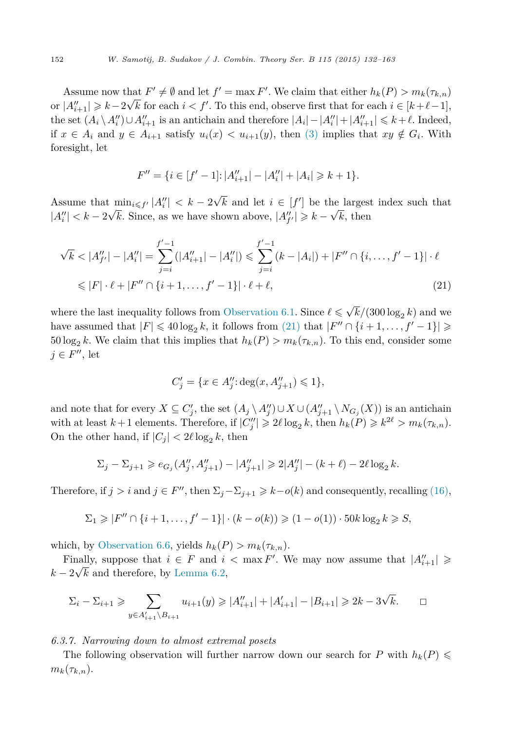Assume now that  $F' \neq \emptyset$  and let  $f' = \max F'$ . We claim that either  $h_k(P) > m_k(\tau_{k,n})$ or  $|A''_{i+1}| \geq k-2\sqrt{k}$  for each  $i < f'$ . To this end, observe first that for each  $i \in [k+\ell-1]$ , the set  $(A_i \setminus A_i'') \cup A_{i+1}''$  is an antichain and therefore  $|A_i| - |A_i''| + |A_{i+1}''| \leq k + \ell$ . Indeed, if *x* ∈ *A*<sup>*i*</sup> and *y* ∈ *A*<sup>*i*</sup>+1 satisfy *u*<sub>i</sub>(*x*)  $\lt$  *u*<sub>*i*+1</sub>(*y*), then [\(3\)](#page-6-0) implies that *xy* ∉ *G*<sup>*i*</sup>. With foresight, let

$$
F'' = \{ i \in [f'-1] : |A''_{i+1}| - |A''_i| + |A_i| \ge k+1 \}.
$$

Assume that  $\min_{i \leq f'} |A''_i| < k - 2\sqrt{k}$  and let  $i \in [f']$  be the largest index such that  $|A''_i| < k - 2\sqrt{k}$ . Since, as we have shown above,  $|A''_{f'}| \geq k - \sqrt{k}$ , then

$$
\sqrt{k} < |A''_{f'}| - |A''_i| = \sum_{j=i}^{f'-1} (|A''_{i+1}| - |A''_i|) \leq \sum_{j=i}^{f'-1} (k - |A_i|) + |F'' \cap \{i, \dots, f'-1\}| \cdot \ell
$$
\n
$$
\leq |F| \cdot \ell + |F'' \cap \{i+1, \dots, f'-1\}| \cdot \ell + \ell,\tag{21}
$$

where the last inequality follows from [Observation 6.1.](#page-14-0) Since  $\ell \leq \sqrt{k}/(300 \log_2 k)$  and we have assumed that  $|F| \le 40 \log_2 k$ , it follows from (21) that  $|F'' \cap \{i+1, \ldots, f'-1\}| \ge$  $50 \log_2 k$ . We claim that this implies that  $h_k(P) > m_k(\tau_{k,n})$ . To this end, consider some  $j \in F''$ , let

$$
C'_j = \{ x \in A''_j : \deg(x, A''_{j+1}) \leq 1 \},\
$$

and note that for every  $X \subseteq C'_j$ , the set  $(A_j \setminus A''_j) \cup X \cup (A''_{j+1} \setminus N_{G_j}(X))$  is an antichain with at least  $k+1$  elements. Therefore, if  $|C''_j| \geq 2\ell \log_2 k$ , then  $h_k(P) \geq k^{2\ell} > m_k(\tau_{k,n})$ . On the other hand, if  $|C_j| < 2\ell \log_2 k$ , then

$$
\Sigma_j - \Sigma_{j+1} \ge e_{G_j}(A_j'', A_{j+1}'') - |A_{j+1}''| \ge 2|A_j''| - (k+\ell) - 2\ell \log_2 k.
$$

Therefore, if  $j>i$  and  $j \in F''$ , then  $\Sigma_j - \Sigma_{j+1} \geq k-o(k)$  and consequently, recalling [\(16\),](#page-17-0)

$$
\Sigma_1 \ge |F'' \cap \{i+1,\ldots,f'-1\}| \cdot (k - o(k)) \ge (1 - o(1)) \cdot 50k \log_2 k \ge S,
$$

which, by [Observation 6.6,](#page-17-0) yields  $h_k(P) > m_k(\tau_{k,n})$ .

Finally, suppose that  $i \in F$  and  $i < \max F'$ . We may now assume that  $|A''_{i+1}| \geqslant$  $k - 2\sqrt{k}$  and therefore, by [Lemma 6.2,](#page-14-0)

$$
\Sigma_i - \Sigma_{i+1} \geqslant \sum_{y \in A'_{i+1} \setminus B_{i+1}} u_{i+1}(y) \geqslant |A''_{i+1}| + |A'_{i+1}| - |B_{i+1}| \geqslant 2k - 3\sqrt{k}.
$$

## *6.3.7. Narrowing down to almost extremal posets*

The following observation will further narrow down our search for *P* with  $h_k(P) \leq$  $m_k(\tau_{k,n}).$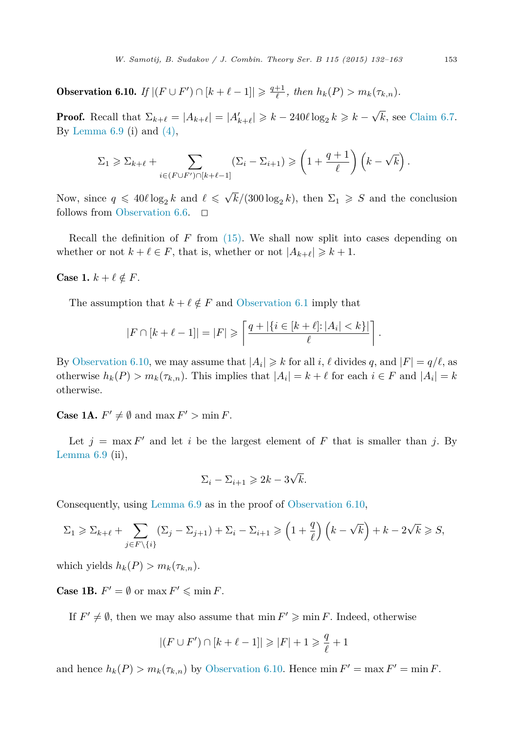<span id="page-21-0"></span>**Observation 6.10.** *If*  $|(F \cup F') \cap [k + \ell - 1]| \geq \frac{q+1}{\ell}$ , then  $h_k(P) > m_k(\tau_{k,n})$ .

**Proof.** Recall that  $\Sigma_{k+\ell} = |A_{k+\ell}| = |A'_{k+\ell}| \geq k - 240\ell \log_2 k \geq k - \sqrt{k}$ , see [Claim 6.7.](#page-17-0) By Lemma  $6.9$  (i) and  $(4)$ ,

$$
\Sigma_1 \geqslant \Sigma_{k+\ell} + \sum_{i \in (F \cup F') \cap [k+\ell-1]} (\Sigma_i - \Sigma_{i+1}) \geqslant \left(1 + \frac{q+1}{\ell}\right) \left(k - \sqrt{k}\right).
$$

Now, since  $q \leq 40 \ell \log_2 k$  and  $\ell \leq \sqrt{k}/(300 \log_2 k)$ , then  $\Sigma_1 \geq S$  and the conclusion follows from [Observation 6.6.](#page-17-0)  $\Box$ 

Recall the definition of *F* from [\(15\).](#page-14-0) We shall now split into cases depending on whether or not  $k + \ell \in F$ , that is, whether or not  $|A_{k+\ell}| \geq k+1$ .

## Case 1.  $k + \ell \notin F$ .

The assumption that  $k + \ell \notin F$  and [Observation 6.1](#page-14-0) imply that

$$
|F \cap [k + \ell - 1]| = |F| \geqslant \left\lceil \frac{q + |\{i \in [k + \ell] : |A_i| < k\}|}{\ell} \right\rceil.
$$

By Observation 6.10, we may assume that  $|A_i| \geq k$  for all *i*,  $\ell$  divides *q*, and  $|F| = q/\ell$ , as otherwise  $h_k(P) > m_k(\tau_{k,n})$ . This implies that  $|A_i| = k + \ell$  for each  $i \in F$  and  $|A_i| = k$ otherwise.

**Case 1A.**  $F' \neq \emptyset$  and  $\max F' > \min F$ .

Let  $j = \max F'$  and let *i* be the largest element of F that is smaller than j. By Lemma  $6.9$  (ii),

$$
\Sigma_i - \Sigma_{i+1} \geqslant 2k - 3\sqrt{k}.
$$

Consequently, using [Lemma 6.9](#page-19-0) as in the proof of Observation 6.10,

$$
\Sigma_1 \geqslant \Sigma_{k+\ell} + \sum_{j \in F \setminus \{i\}} (\Sigma_j - \Sigma_{j+1}) + \Sigma_i - \Sigma_{i+1} \geqslant \left(1 + \frac{q}{\ell}\right) \left(k - \sqrt{k}\right) + k - 2\sqrt{k} \geqslant S,
$$

which yields  $h_k(P) > m_k(\tau_{k,n}).$ 

**Case 1B.**  $F' = \emptyset$  or  $\max F' \leq \min F$ .

If  $F' \neq \emptyset$ , then we may also assume that  $\min F' \geqslant \min F$ . Indeed, otherwise

$$
|(F \cup F') \cap [k+\ell-1]| \geqslant |F|+1 \geqslant \frac{q}{\ell}+1
$$

and hence  $h_k(P) > m_k(\tau_{k,n})$  by Observation 6.10. Hence min  $F' = \max F' = \min F$ .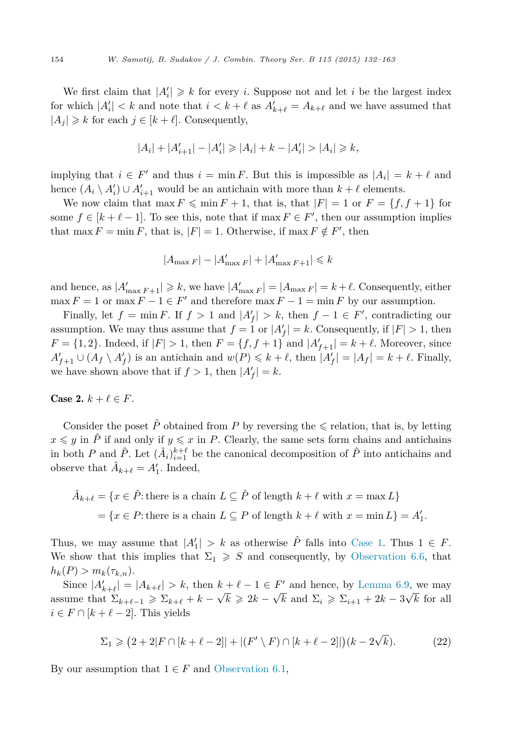<span id="page-22-0"></span>We first claim that  $|A'_i| \geq k$  for every *i*. Suppose not and let *i* be the largest index for which  $|A'_i| < k$  and note that  $i < k + \ell$  as  $A'_{k+\ell} = A_{k+\ell}$  and we have assumed that  $|A_j| \geq k$  for each  $j \in [k + \ell]$ . Consequently,

$$
|A_i| + |A'_{i+1}| - |A'_i| \ge |A_i| + k - |A'_i| > |A_i| \ge k,
$$

implying that  $i \in F'$  and thus  $i = \min F$ . But this is impossible as  $|A_i| = k + \ell$  and hence  $(A_i \setminus A'_i) \cup A'_{i+1}$  would be an antichain with more than  $k + \ell$  elements.

We now claim that max  $F \n\leq \min F + 1$ , that is, that  $|F| = 1$  or  $F = \{f, f + 1\}$  for some  $f \in [k + \ell - 1]$ . To see this, note that if max  $F \in F'$ , then our assumption implies that max  $F = \min F$ , that is,  $|F| = 1$ . Otherwise, if max  $F \notin F'$ , then

$$
|A_{\max F}| - |A'_{\max F}| + |A'_{\max F+1}| \leq k
$$

and hence, as  $|A'_{\max F+1}| \geq k$ , we have  $|A'_{\max F}| = |A_{\max F}| = k + \ell$ . Consequently, either  $\max F = 1$  or  $\max F - 1 \in F'$  and therefore  $\max F - 1 = \min F$  by our assumption.

Finally, let  $f = \min F$ . If  $f > 1$  and  $|A'_f| > k$ , then  $f - 1 \in F'$ , contradicting our assumption. We may thus assume that  $f = 1$  or  $|A'_f| = k$ . Consequently, if  $|F| > 1$ , then *F* = {1, 2}. Indeed, if  $|F| > 1$ , then  $F = \{f, f + 1\}$  and  $|A'_{f+1}| = k + \ell$ . Moreover, since  $A'_{f+1} \cup (A_f \setminus A'_f)$  is an antichain and  $w(P) \leq k + \ell$ , then  $|A'_f| = |A_f| = k + \ell$ . Finally, we have shown above that if  $f > 1$ , then  $|A'_f| = k$ .

### Case 2.  $k + \ell \in F$ .

Consider the poset  $\hat{P}$  obtained from P by reversing the  $\leq$  relation, that is, by letting  $x \leq y$  in  $\hat{P}$  if and only if  $y \leq x$  in *P*. Clearly, the same sets form chains and antichains in both *P* and  $\hat{P}$ . Let  $(\hat{A}_i)_{i=1}^{k+\ell}$  be the canonical decomposition of  $\hat{P}$  into antichains and observe that  $\hat{A}_{k+\ell} = A'_1$ . Indeed,

$$
\hat{A}_{k+\ell} = \{x \in \hat{P} : \text{there is a chain } L \subseteq \hat{P} \text{ of length } k+\ell \text{ with } x = \max L\}
$$

$$
= \{x \in P : \text{there is a chain } L \subseteq P \text{ of length } k+\ell \text{ with } x = \min L\} = A'_1.
$$

Thus, we may assume that  $|A'_1| > k$  as otherwise  $\hat{P}$  falls into [Case 1.](#page-21-0) Thus  $1 \in F$ . We show that this implies that  $\Sigma_1 \geqslant S$  and consequently, by [Observation 6.6,](#page-17-0) that  $h_k(P) > m_k(\tau_{k,n}).$ 

Since  $|A'_{k+\ell}| = |A_{k+\ell}| > k$ , then  $k+\ell-1 \in F'$  and hence, by [Lemma 6.9,](#page-19-0) we may assume that  $\Sigma_{k+\ell-1} \geqslant \Sigma_{k+\ell} + k - \sqrt{k} \geqslant 2k - \sqrt{k}$  and  $\Sigma_i \geqslant \Sigma_{i+1} + 2k - 3\sqrt{k}$  for all  $i \in F \cap [k + \ell - 2]$ . This yields

$$
\Sigma_1 \geq (2 + 2|F \cap [k + \ell - 2]| + |(F' \setminus F) \cap [k + \ell - 2]|)(k - 2\sqrt{k}).
$$
 (22)

By our assumption that  $1 \in F$  and [Observation 6.1,](#page-14-0)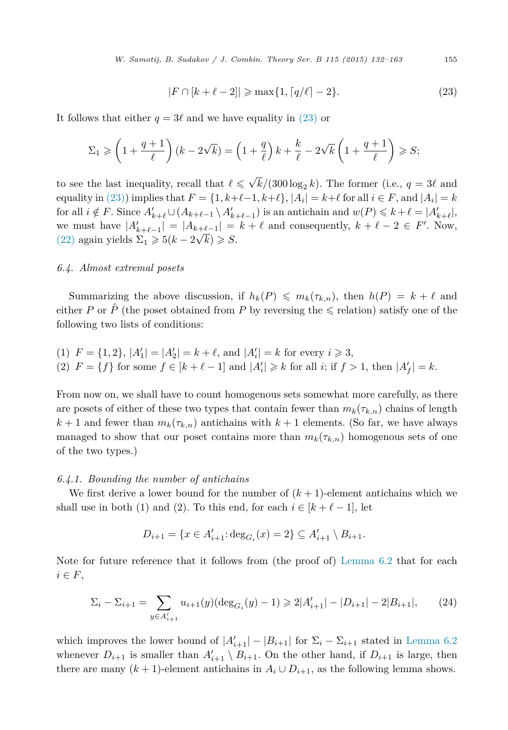*W. Samotij, B. Sudakov / J. Combin. Theory Ser. B 115 (2015) 132–163* 155

$$
|F \cap [k + \ell - 2]| \ge \max\{1, \lceil q/\ell \rceil - 2\}.
$$
 (23)

<span id="page-23-0"></span>It follows that either  $q = 3\ell$  and we have equality in (23) or

$$
\Sigma_1 \geqslant \left(1 + \frac{q+1}{\ell}\right)(k - 2\sqrt{k}) = \left(1 + \frac{q}{\ell}\right)k + \frac{k}{\ell} - 2\sqrt{k}\left(1 + \frac{q+1}{\ell}\right) \geqslant S;
$$

to see the last inequality, recall that  $\ell \leq \sqrt{k}/(300 \log_2 k)$ . The former (i.e.,  $q = 3\ell$  and equality in (23)) implies that  $F = \{1, k+\ell-1, k+\ell\}$ ,  $|A_i| = k+\ell$  for all  $i \in F$ , and  $|A_i| = k$ for all  $i \notin F$ . Since  $A'_{k+\ell} \cup (A_{k+\ell-1} \setminus A'_{k+\ell-1})$  is an antichain and  $w(P) \leq k+\ell = |A'_{k+\ell}|$ , we must have  $|A'_{k+\ell-1}| = |A_{k+\ell-1}| = k+\ell$  and consequently,  $k+\ell-2 \in F'$ . Now, [\(22\)](#page-22-0) again yields  $\Sigma_1 \geq 5(k - 2\sqrt{k}) \geq S$ .

### *6.4. Almost extremal posets*

Summarizing the above discussion, if  $h_k(P) \leq m_k(\tau_{k,n})$ , then  $h(P) = k + \ell$  and either *P* or  $\hat{P}$  (the poset obtained from *P* by reversing the  $\leq$  relation) satisfy one of the following two lists of conditions:

(1) 
$$
F = \{1, 2\}, |A'_1| = |A'_2| = k + \ell
$$
, and  $|A'_i| = k$  for every  $i \geq 3$ , \n(2)  $F = \{f\}$  for some  $f \in [k + \ell - 1]$  and  $|A'_i| \geq k$  for all  $i$ ; if  $f > 1$ , then  $|A'_f| = k$ .

From now on, we shall have to count homogenous sets somewhat more carefully, as there are posets of either of these two types that contain fewer than  $m_k(\tau_k,n)$  chains of length  $k+1$  and fewer than  $m_k(\tau_{k,n})$  antichains with  $k+1$  elements. (So far, we have always managed to show that our poset contains more than  $m_k(\tau_{k,n})$  homogenous sets of one of the two types.)

### *6.4.1. Bounding the number of antichains*

We first derive a lower bound for the number of  $(k + 1)$ -element antichains which we shall use in both (1) and (2). To this end, for each  $i \in [k + \ell - 1]$ , let

$$
D_{i+1} = \{x \in A'_{i+1} : \deg_{G_i}(x) = 2\} \subseteq A'_{i+1} \setminus B_{i+1}.
$$

Note for future reference that it follows from (the proof of) [Lemma 6.2](#page-14-0) that for each  $i \in F$ ,

$$
\Sigma_i - \Sigma_{i+1} = \sum_{y \in A'_{i+1}} u_{i+1}(y)(\deg_{G_i}(y) - 1) \geq 2|A'_{i+1}| - |D_{i+1}| - 2|B_{i+1}|,\tag{24}
$$

which improves the lower bound of  $|A'_{i+1}| - |B_{i+1}|$  for  $\Sigma_i - \Sigma_{i+1}$  stated in [Lemma 6.2](#page-14-0) whenever  $D_{i+1}$  is smaller than  $A'_{i+1} \setminus B_{i+1}$ . On the other hand, if  $D_{i+1}$  is large, then there are many  $(k + 1)$ -element antichains in  $A_i \cup D_{i+1}$ , as the following lemma shows.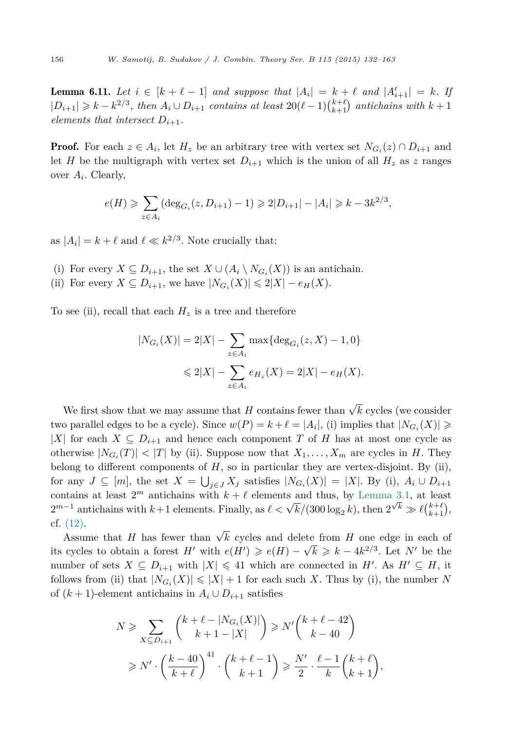<span id="page-24-0"></span>**Lemma 6.11.** Let  $i \in [k + \ell - 1]$  and suppose that  $|A_i| = k + \ell$  and  $|A'_{i+1}| = k$ . If  $|D_{i+1}|$  ≥  $k - k^{2/3}$ , then  $A_i \cup D_{i+1}$  contains at least  $20(\ell-1)\binom{k+\ell}{k+1}$  antichains with  $k+1$ *elements that intersect*  $D_{i+1}$ *.* 

**Proof.** For each  $z \in A_i$ , let  $H_z$  be an arbitrary tree with vertex set  $N_{G_i}(z) \cap D_{i+1}$  and let *H* be the multigraph with vertex set  $D_{i+1}$  which is the union of all  $H_z$  as *z* ranges over *Ai*. Clearly,

$$
e(H) \geqslant \sum_{z \in A_i} (\deg_{G_i}(z, D_{i+1}) - 1) \geqslant 2|D_{i+1}| - |A_i| \geqslant k - 3k^{2/3},
$$

as  $|A_i| = k + \ell$  and  $\ell \ll k^{2/3}$ . Note crucially that:

- (i) For every  $X \subseteq D_{i+1}$ , the set  $X \cup (A_i \setminus N_{G_i}(X))$  is an antichain.
- (ii) For every  $X \subseteq D_{i+1}$ , we have  $|N_{G_i}(X)| \leq 2|X| e_H(X)$ .

To see (ii), recall that each  $H_z$  is a tree and therefore

$$
|N_{G_i}(X)| = 2|X| - \sum_{z \in A_i} \max\{\deg_{G_i}(z, X) - 1, 0\}
$$
  
\$\leq 2|X| - \sum\_{z \in A\_i} e\_{H\_z}(X) = 2|X| - e\_H(X).

We first show that we may assume that *H* contains fewer than  $\sqrt{k}$  cycles (we consider two parallel edges to be a cycle). Since  $w(P) = k + \ell = |A_i|$ , (i) implies that  $|N_{G_i}(X)| \ge$ |*X*| for each *X*  $\subseteq$  *D*<sub>*i*+1</sub> and hence each component *T* of *H* has at most one cycle as otherwise  $|N_{G_i}(T)| < |T|$  by (ii). Suppose now that  $X_1, \ldots, X_m$  are cycles in *H*. They belong to different components of *H*, so in particular they are vertex-disjoint. By (ii), for any  $J \subseteq [m]$ , the set  $X = \bigcup_{j \in J} X_j$  satisfies  $|N_{G_i}(X)| = |X|$ . By (i),  $A_i \cup D_{i+1}$ contains at least  $2^m$  antichains with  $k + \ell$  elements and thus, by [Lemma 3.1,](#page-7-0) at least  $2^{m-1}$  antichains with  $k+1$  elements. Finally, as  $\ell < \sqrt{k}/(300 \log_2 k)$ , then  $2^{\sqrt{k}} \gg \ell {k+\ell \choose k+1}$ , cf. [\(12\).](#page-13-0)

Assume that *H* has fewer than  $\sqrt{k}$  cycles and delete from *H* one edge in each of its cycles to obtain a forest *H*' with  $e(H') \geqslant e(H) - \sqrt{k} \geqslant k - 4k^{2/3}$ . Let *N*' be the number of sets  $X \subseteq D_{i+1}$  with  $|X| \leq 41$  which are connected in  $H'$ . As  $H' \subseteq H$ , it follows from (ii) that  $|N_{G_i}(X)| \leq |X| + 1$  for each such X. Thus by (i), the number N of  $(k+1)$ -element antichains in  $A_i \cup D_{i+1}$  satisfies

$$
N \geqslant \sum_{X \subseteq D_{i+1}} {k + \ell - |N_{G_i}(X)| \choose k + 1 - |X|} \geqslant N' {k + \ell - 42 \choose k - 40}
$$
  

$$
\geqslant N' \cdot \left(\frac{k - 40}{k + \ell}\right)^{41} \cdot {k + \ell - 1 \choose k + 1} \geqslant \frac{N'}{2} \cdot \frac{\ell - 1}{k} {k + \ell \choose k + 1},
$$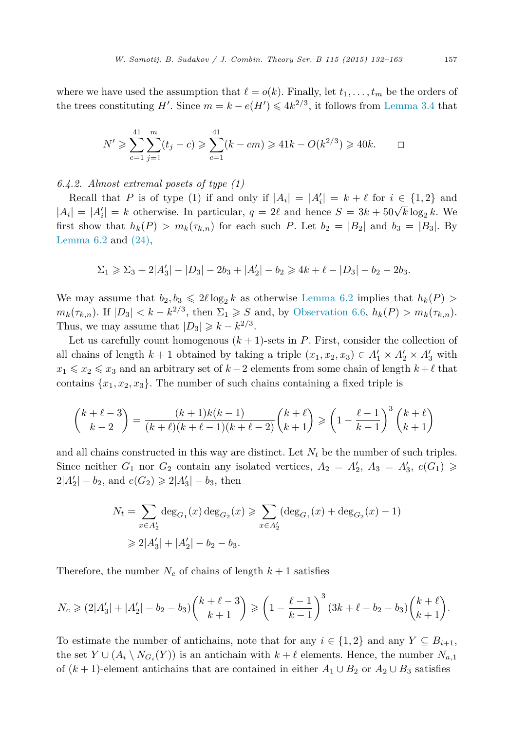where we have used the assumption that  $\ell = o(k)$ . Finally, let  $t_1, \ldots, t_m$  be the orders of the trees constituting *H*'. Since  $m = k - e(H') \leq 4k^{2/3}$ , it follows from [Lemma 3.4](#page-9-0) that

$$
N' \geqslant \sum_{c=1}^{41} \sum_{j=1}^{m} (t_j - c) \geqslant \sum_{c=1}^{41} (k - cm) \geqslant 41k - O(k^{2/3}) \geqslant 40k. \qquad \Box
$$

*6.4.2. Almost extremal posets of type (1)*

Recall that *P* is of type (1) if and only if  $|A_i| = |A'_i| = k + \ell$  for  $i \in \{1,2\}$  and  $|A_i| = |A'_i| = k$  otherwise. In particular,  $q = 2\ell$  and hence  $S = 3k + 50\sqrt{k} \log_2 k$ . We first show that  $h_k(P) > m_k(\tau_{k,n})$  for each such P. Let  $b_2 = |B_2|$  and  $b_3 = |B_3|$ . By Lemma  $6.2$  and  $(24)$ ,

$$
\Sigma_1 \geqslant \Sigma_3 + 2|A'_3| - |D_3| - 2b_3 + |A'_2| - b_2 \geqslant 4k + \ell - |D_3| - b_2 - 2b_3.
$$

We may assume that  $b_2, b_3 \leq 2\ell \log_2 k$  as otherwise [Lemma 6.2](#page-14-0) implies that  $h_k(P)$  $m_k(\tau_{k,n})$ . If  $|D_3| < k - k^{2/3}$ , then  $\Sigma_1 \geqslant S$  and, by [Observation 6.6,](#page-17-0)  $h_k(P) > m_k(\tau_{k,n})$ . Thus, we may assume that  $|D_3| \geq k - k^{2/3}$ .

Let us carefully count homogenous  $(k + 1)$ -sets in *P*. First, consider the collection of all chains of length  $k + 1$  obtained by taking a triple  $(x_1, x_2, x_3) \in A'_1 \times A'_2 \times A'_3$  with  $x_1 \leq x_2 \leq x_3$  and an arbitrary set of  $k-2$  elements from some chain of length  $k+\ell$  that contains  $\{x_1, x_2, x_3\}$ . The number of such chains containing a fixed triple is

$$
\binom{k+\ell-3}{k-2} = \frac{(k+1)k(k-1)}{(k+\ell)(k+\ell-1)(k+\ell-2)} \binom{k+\ell}{k+1} \geq \left(1 - \frac{\ell-1}{k-1}\right)^3 \binom{k+\ell}{k+1}
$$

and all chains constructed in this way are distinct. Let  $N_t$  be the number of such triples. Since neither  $G_1$  nor  $G_2$  contain any isolated vertices,  $A_2 = A'_2$ ,  $A_3 = A'_3$ ,  $e(G_1) \ge$  $2|A'_2| - b_2$ , and  $e(G_2) \ge 2|A'_3| - b_3$ , then

$$
N_t = \sum_{x \in A'_2} \deg_{G_1}(x) \deg_{G_2}(x) \ge \sum_{x \in A'_2} (\deg_{G_1}(x) + \deg_{G_2}(x) - 1)
$$
  
\n
$$
\ge 2|A'_3| + |A'_2| - b_2 - b_3.
$$

Therefore, the number  $N_c$  of chains of length  $k+1$  satisfies

$$
N_c \geq (2|A_3'|+|A_2'|-b_2-b_3)\binom{k+\ell-3}{k+1} \geq \left(1-\frac{\ell-1}{k-1}\right)^3(3k+\ell-b_2-b_3)\binom{k+\ell}{k+1}.
$$

To estimate the number of antichains, note that for any  $i \in \{1,2\}$  and any  $Y \subseteq B_{i+1}$ , the set  $Y \cup (A_i \setminus N_{G_i}(Y))$  is an antichain with  $k + \ell$  elements. Hence, the number  $N_{a,1}$ of  $(k+1)$ -element antichains that are contained in either  $A_1 \cup B_2$  or  $A_2 \cup B_3$  satisfies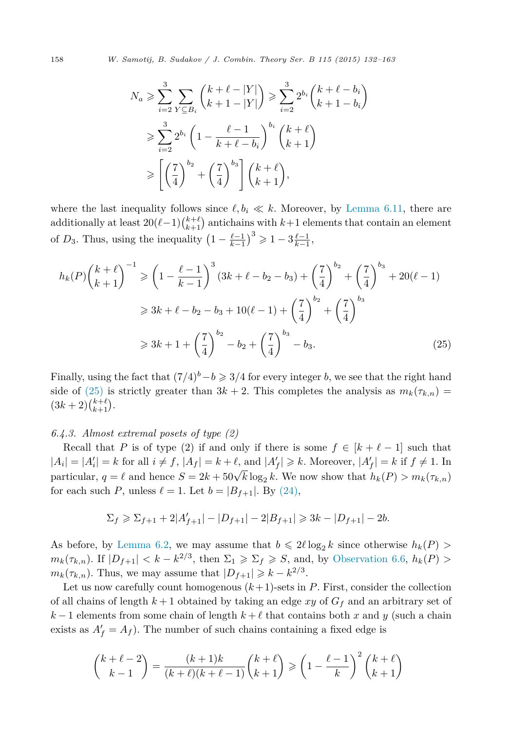$$
N_a \ge \sum_{i=2}^3 \sum_{Y \subseteq B_i} {k + \ell - |Y| \choose k+1-|Y|} \ge \sum_{i=2}^3 2^{b_i} {k + \ell - b_i \choose k+1-b_i}
$$
  

$$
\ge \sum_{i=2}^3 2^{b_i} \left(1 - \frac{\ell - 1}{k + \ell - b_i}\right)^{b_i} {k + \ell \choose k+1}
$$
  

$$
\ge \left[ \left(\frac{7}{4}\right)^{b_2} + \left(\frac{7}{4}\right)^{b_3} \right] {k + \ell \choose k+1},
$$

where the last inequality follows since  $\ell, b_i \ll k$ . Moreover, by [Lemma 6.11,](#page-24-0) there are additionally at least  $20(\ell-1)\binom{k+\ell}{k+1}$  antichains with  $k+1$  elements that contain an element of *D*<sub>3</sub>. Thus, using the inequality  $\left(1 - \frac{\ell - 1}{k - 1}\right)^3 \geq 1 - 3\frac{\ell - 1}{k - 1}$ ,

$$
h_k(P)\binom{k+\ell}{k+1}^{-1} \ge \left(1 - \frac{\ell-1}{k-1}\right)^3 (3k + \ell - b_2 - b_3) + \left(\frac{7}{4}\right)^{b_2} + \left(\frac{7}{4}\right)^{b_3} + 20(\ell - 1)
$$
  

$$
\ge 3k + \ell - b_2 - b_3 + 10(\ell - 1) + \left(\frac{7}{4}\right)^{b_2} + \left(\frac{7}{4}\right)^{b_3}
$$
  

$$
\ge 3k + 1 + \left(\frac{7}{4}\right)^{b_2} - b_2 + \left(\frac{7}{4}\right)^{b_3} - b_3.
$$
 (25)

Finally, using the fact that  $(7/4)^b - b \geq 3/4$  for every integer *b*, we see that the right hand side of (25) is strictly greater than  $3k + 2$ . This completes the analysis as  $m_k(\tau_{k,n}) =$  $(3k+2)$  $\binom{k+\ell}{k+1}$ .

### *6.4.3. Almost extremal posets of type (2)*

Recall that *P* is of type (2) if and only if there is some  $f \in [k + \ell - 1]$  such that  $|A_i| = |A'_i| = k$  for all  $i \neq f$ ,  $|A_f| = k + \ell$ , and  $|A'_f| \geq k$ . Moreover,  $|A'_f| = k$  if  $f \neq 1$ . In particular,  $q = \ell$  and hence  $S = 2k + 50\sqrt{k} \log_2 k$ . We now show that  $h_k(P) > m_k(\tau_{k,n})$ for each such *P*, unless  $\ell = 1$ . Let  $b = |B_{f+1}|$ . By [\(24\),](#page-23-0)

$$
\Sigma_f \ge \Sigma_{f+1} + 2|A'_{f+1}| - |D_{f+1}| - 2|B_{f+1}| \ge 3k - |D_{f+1}| - 2b.
$$

As before, by [Lemma 6.2,](#page-14-0) we may assume that  $b \leq 2\ell \log_2 k$  since otherwise  $h_k(P)$  $m_k(\tau_{k,n})$ . If  $|D_{f+1}| < k - k^{2/3}$ , then  $\Sigma_1 \geq \Sigma_f \geq S$ , and, by [Observation 6.6,](#page-17-0)  $h_k(P) >$  $m_k(\tau_{k,n})$ . Thus, we may assume that  $|D_{f+1}| \geq k - k^{2/3}$ .

Let us now carefully count homogenous  $(k+1)$ -sets in  $P$ . First, consider the collection of all chains of length  $k+1$  obtained by taking an edge xy of  $G_f$  and an arbitrary set of  $k-1$  elements from some chain of length  $k+\ell$  that contains both *x* and *y* (such a chain exists as  $A'_{f} = A_{f}$ ). The number of such chains containing a fixed edge is

$$
\binom{k+\ell-2}{k-1} = \frac{(k+1)k}{(k+\ell)(k+\ell-1)} \binom{k+\ell}{k+1} \geqslant \left(1 - \frac{\ell-1}{k}\right)^2 \binom{k+\ell}{k+1}
$$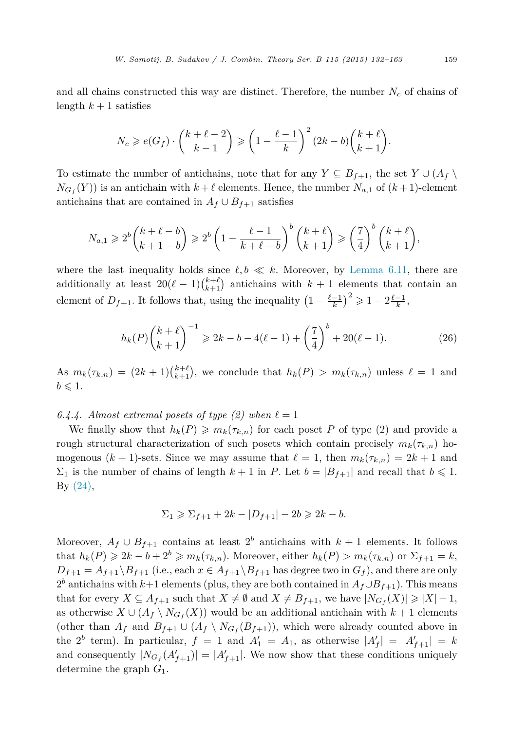and all chains constructed this way are distinct. Therefore, the number  $N_c$  of chains of length  $k+1$  satisfies

$$
N_c \geqslant e(G_f) \cdot \binom{k+\ell-2}{k-1} \geqslant \left(1 - \frac{\ell-1}{k}\right)^2 (2k-b) \binom{k+\ell}{k+1}.
$$

To estimate the number of antichains, note that for any  $Y \subseteq B_{f+1}$ , the set  $Y \cup (A_f \setminus B_f)$  $N_{G_f}(Y)$  is an antichain with  $k+\ell$  elements. Hence, the number  $N_{a,1}$  of  $(k+1)$ -element antichains that are contained in  $A_f \cup B_{f+1}$  satisfies

$$
N_{a,1} \geqslant 2^b \binom{k+\ell-b}{k+1-b} \geqslant 2^b \left(1 - \frac{\ell-1}{k+\ell-b}\right)^b \binom{k+\ell}{k+1} \geqslant \left(\frac{7}{4}\right)^b \binom{k+\ell}{k+1},
$$

where the last inequality holds since  $\ell, b \ll k$ . Moreover, by [Lemma 6.11,](#page-24-0) there are additionally at least  $20(\ell-1)\binom{k+\ell}{k+1}$  antichains with  $k+1$  elements that contain an element of  $D_{f+1}$ . It follows that, using the inequality  $\left(1 - \frac{\ell-1}{k}\right)^2 \geq 1 - 2\frac{\ell-1}{k}$ ,

$$
h_k(P)\binom{k+\ell}{k+1}^{-1} \ge 2k - b - 4(\ell-1) + \left(\frac{7}{4}\right)^b + 20(\ell-1). \tag{26}
$$

As  $m_k(\tau_{k,n}) = (2k+1)\binom{k+\ell}{k+1}$ , we conclude that  $h_k(P) > m_k(\tau_{k,n})$  unless  $\ell = 1$  and  $b \leqslant 1$ .

### 6.4.4. Almost extremal posets of type (2) when  $\ell = 1$

We finally show that  $h_k(P) \geq m_k(\tau_{k,n})$  for each poset P of type (2) and provide a rough structural characterization of such posets which contain precisely  $m_k(\tau_{k,n})$  homogenous  $(k + 1)$ -sets. Since we may assume that  $\ell = 1$ , then  $m_k(\tau_{k,n}) = 2k + 1$  and  $\Sigma_1$  is the number of chains of length  $k+1$  in *P*. Let  $b=|B_{f+1}|$  and recall that  $b \leq 1$ . By [\(24\),](#page-23-0)

$$
\Sigma_1 \ge \Sigma_{f+1} + 2k - |D_{f+1}| - 2b \ge 2k - b.
$$

Moreover,  $A_f \cup B_{f+1}$  contains at least  $2^b$  antichains with  $k+1$  elements. It follows that  $h_k(P) \geq 2k - b + 2^b \geq m_k(\tau_{k,n})$ . Moreover, either  $h_k(P) > m_k(\tau_{k,n})$  or  $\Sigma_{f+1} = k$ ,  $D_{f+1} = A_{f+1} \setminus B_{f+1}$  (i.e., each  $x \in A_{f+1} \setminus B_{f+1}$  has degree two in  $G_f$ ), and there are only  $2<sup>b</sup>$  antichains with *k*+1 elements (plus, they are both contained in  $A_f \cup B_{f+1}$ ). This means that for every  $X \subseteq A_{f+1}$  such that  $X \neq \emptyset$  and  $X \neq B_{f+1}$ , we have  $|N_{G_f}(X)| \geq |X| + 1$ , as otherwise  $X \cup (A_f \setminus N_{G_f}(X))$  would be an additional antichain with  $k + 1$  elements (other than  $A_f$  and  $B_{f+1} \cup (A_f \setminus N_{G_f}(B_{f+1}))$ , which were already counted above in the  $2^b$  term). In particular,  $f = 1$  and  $A'_1 = A_1$ , as otherwise  $|A'_f| = |A'_{f+1}| = k$ and consequently  $|N_{G_f}(A'_{f+1})| = |A'_{f+1}|$ . We now show that these conditions uniquely determine the graph *G*1.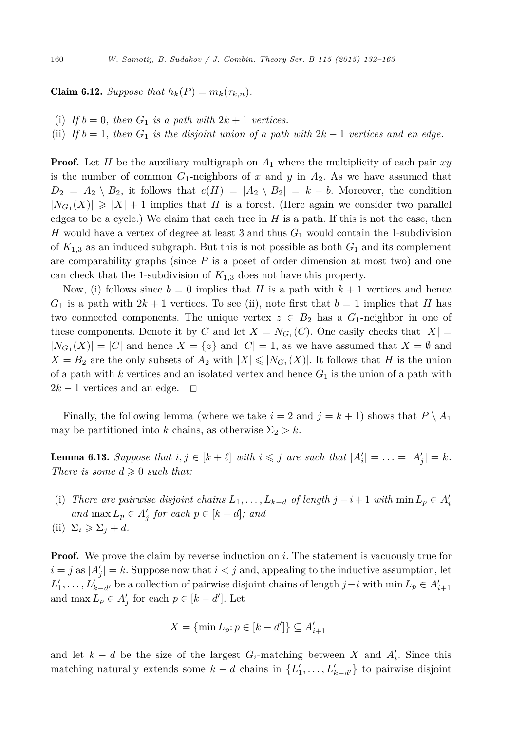**Claim 6.12.** *Suppose that*  $h_k(P) = m_k(\tau_{k,n})$ *.* 

- (i) If  $b = 0$ , then  $G_1$  is a path with  $2k + 1$  vertices.
- (ii) *If*  $b = 1$ , *then*  $G_1$  *is the disjoint union of a path with*  $2k 1$  *vertices and en edge.*

**Proof.** Let *H* be the auxiliary multigraph on  $A_1$  where the multiplicity of each pair xy is the number of common  $G_1$ -neighbors of x and y in  $A_2$ . As we have assumed that  $D_2 = A_2 \setminus B_2$ , it follows that  $e(H) = |A_2 \setminus B_2| = k - b$ . Moreover, the condition  $|N_{G_1}(X)| \geq |X| + 1$  implies that *H* is a forest. (Here again we consider two parallel edges to be a cycle.) We claim that each tree in  $H$  is a path. If this is not the case, then *H* would have a vertex of degree at least 3 and thus *G*<sup>1</sup> would contain the 1-subdivision of  $K_{1,3}$  as an induced subgraph. But this is not possible as both  $G_1$  and its complement are comparability graphs (since *P* is a poset of order dimension at most two) and one can check that the 1-subdivision of  $K_{1,3}$  does not have this property.

Now, (i) follows since  $b = 0$  implies that *H* is a path with  $k + 1$  vertices and hence  $G_1$  is a path with  $2k + 1$  vertices. To see (ii), note first that  $b = 1$  implies that *H* has two connected components. The unique vertex  $z \in B_2$  has a  $G_1$ -neighbor in one of these components. Denote it by *C* and let  $X = N_{G_1}(C)$ . One easily checks that  $|X| =$  $|N_{G_1}(X)| = |C|$  and hence  $X = \{z\}$  and  $|C| = 1$ , as we have assumed that  $X = \emptyset$  and  $X = B_2$  are the only subsets of  $A_2$  with  $|X| \leq |N_{G_1}(X)|$ . It follows that *H* is the union of a path with  $k$  vertices and an isolated vertex and hence  $G_1$  is the union of a path with  $2k-1$  vertices and an edge.  $\Box$ 

Finally, the following lemma (where we take  $i = 2$  and  $j = k + 1$ ) shows that  $P \setminus A_1$ may be partitioned into *k* chains, as otherwise  $\Sigma_2 > k$ .

**Lemma 6.13.** Suppose that  $i, j \in [k + \ell]$  with  $i \leq j$  are such that  $|A'_i| = \ldots = |A'_j| = k$ . *There is some*  $d \geq 0$  *such that:* 

- (i) There are pairwise disjoint chains  $L_1, \ldots, L_{k-d}$  of length  $j i + 1$  with  $\min L_p \in A'_i$ *and*  $\max L_p \in A'_j$  *for each*  $p \in [k-d]$ *; and*
- $\sum_i \geqslant \sum_j + d$ .

**Proof.** We prove the claim by reverse induction on *i*. The statement is vacuously true for  $i = j$  as  $|A'_j| = k$ . Suppose now that  $i < j$  and, appealing to the inductive assumption, let *L*<sup>1</sup>,  $\dots$ , *L*<sup>*k*</sup><sub>*k*−*d*</sub><sup>*i*</sup> be a collection of pairwise disjoint chains of length *j*−*i* with min *L*<sub>*p*</sub> ∈ *A*<sup>*i*</sup><sub>+1</sub></sub> and  $\max L_p \in A'_j$  for each  $p \in [k-d']$ . Let

$$
X = \{\min L_p : p \in [k - d']\} \subseteq A'_{i+1}
$$

and let  $k - d$  be the size of the largest  $G_i$ -matching between  $X$  and  $A'_i$ . Since this matching naturally extends some  $k - d$  chains in  $\{L'_1, \ldots, L'_{k-d'}\}$  to pairwise disjoint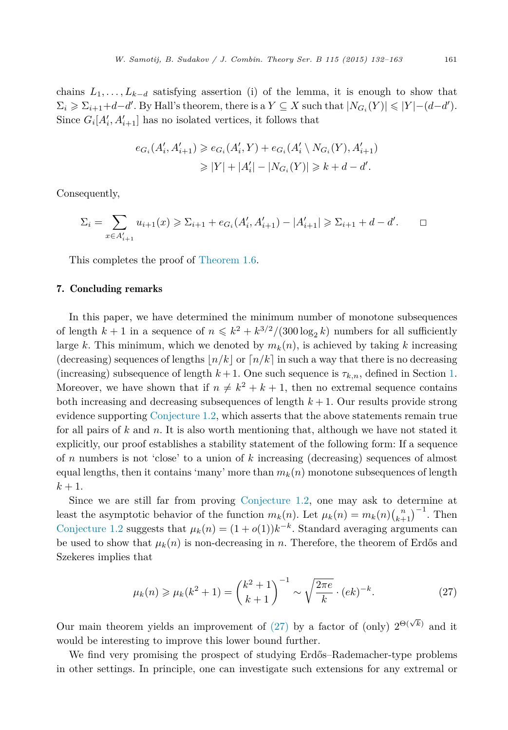chains  $L_1, \ldots, L_{k-d}$  satisfying assertion (i) of the lemma, it is enough to show that  $\Sigma_i \geqslant \Sigma_{i+1} + d - d'$ . By Hall's theorem, there is a  $Y \subseteq X$  such that  $|N_{G_i}(Y)| \leqslant |Y| - (d - d')$ . Since  $G_i[A'_i, A'_{i+1}]$  has no isolated vertices, it follows that

$$
e_{G_i}(A'_i, A'_{i+1}) \geq e_{G_i}(A'_i, Y) + e_{G_i}(A'_i \setminus N_{G_i}(Y), A'_{i+1})
$$
  
\n
$$
\geq |Y| + |A'_i| - |N_{G_i}(Y)| \geq k + d - d'.
$$

Consequently,

$$
\Sigma_i = \sum_{x \in A'_{i+1}} u_{i+1}(x) \ge \Sigma_{i+1} + e_{G_i}(A'_i, A'_{i+1}) - |A'_{i+1}| \ge \Sigma_{i+1} + d - d'.
$$

This completes the proof of [Theorem 1.6.](#page-4-0)

### 7. Concluding remarks

In this paper, we have determined the minimum number of monotone subsequences of length  $k + 1$  in a sequence of  $n \leq k^2 + k^{3/2}/(300 \log_2 k)$  numbers for all sufficiently large *k*. This minimum, which we denoted by  $m_k(n)$ , is achieved by taking *k* increasing (decreasing) sequences of lengths  $n/k$  or  $n/k$  in such a way that there is no decreasing (increasing) subsequence of length  $k+1$ . One such sequence is  $\tau_{k,n}$ , defined in Section [1.](#page-0-0) Moreover, we have shown that if  $n \neq k^2 + k + 1$ , then no extremal sequence contains both increasing and decreasing subsequences of length  $k + 1$ . Our results provide strong evidence supporting [Conjecture 1.2,](#page-2-0) which asserts that the above statements remain true for all pairs of *k* and *n*. It is also worth mentioning that, although we have not stated it explicitly, our proof establishes a stability statement of the following form: If a sequence of *n* numbers is not 'close' to a union of *k* increasing (decreasing) sequences of almost equal lengths, then it contains 'many' more than  $m_k(n)$  monotone subsequences of length  $k + 1$ .

Since we are still far from proving [Conjecture 1.2,](#page-2-0) one may ask to determine at least the asymptotic behavior of the function  $m_k(n)$ . Let  $\mu_k(n) = m_k(n) \binom{n}{k+1}^{-1}$ . Then [Conjecture 1.2](#page-2-0) suggests that  $\mu_k(n) = (1 + o(1))k^{-k}$ . Standard averaging arguments can be used to show that  $\mu_k(n)$  is non-decreasing in *n*. Therefore, the theorem of Erdős and Szekeres implies that

$$
\mu_k(n) \ge \mu_k(k^2 + 1) = \binom{k^2 + 1}{k + 1}^{-1} \sim \sqrt{\frac{2\pi e}{k}} \cdot (ek)^{-k}.
$$
 (27)

Our main theorem yields an improvement of (27) by a factor of (only)  $2^{\Theta(\sqrt{k})}$  and it would be interesting to improve this lower bound further.

We find very promising the prospect of studying Erdős–Rademacher-type problems in other settings. In principle, one can investigate such extensions for any extremal or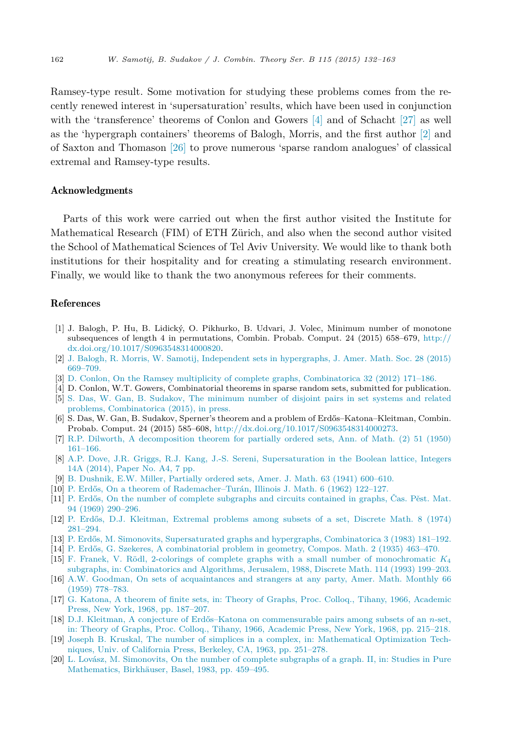<span id="page-30-0"></span>Ramsey-type result. Some motivation for studying these problems comes from the recently renewed interest in 'supersaturation' results, which have been used in conjunction with the 'transference' theorems of Conlon and Gowers [4] and of Schacht [\[27\]](#page-31-0) as well as the 'hypergraph containers' theorems of Balogh, Morris, and the first author [2] and of Saxton and Thomason [\[26\]](#page-31-0) to prove numerous 'sparse random analogues' of classical extremal and Ramsey-type results.

### Acknowledgments

Parts of this work were carried out when the first author visited the Institute for Mathematical Research (FIM) of ETH Zürich, and also when the second author visited the School of Mathematical Sciences of Tel Aviv University. We would like to thank both institutions for their hospitality and for creating a stimulating research environment. Finally, we would like to thank the two anonymous referees for their comments.

## References

- [1] J. Balogh, P. Hu, B. Lidický, O. Pikhurko, B. Udvari, J. Volec, Minimum number of monotone subsequences of length 4 in permutations, Combin. Probab. Comput. 24 (2015) 658–679, [http://](http://dx.doi.org/10.1017/S0963548314000820) [dx.doi.org/10.1017/S0963548314000820](http://dx.doi.org/10.1017/S0963548314000820).
- [2] J. Balogh, R. Morris, W. Samotij, Independent sets in [hypergraphs,](http://refhub.elsevier.com/S0095-8956(15)00063-5/bib42614D6F5361s1) J. Amer. Math. Soc. 28 (2015) [669–709.](http://refhub.elsevier.com/S0095-8956(15)00063-5/bib42614D6F5361s1)
- [3] D. Conlon, On the Ramsey multiplicity of complete graphs, [Combinatorica](http://refhub.elsevier.com/S0095-8956(15)00063-5/bib436F3132s1) 32 (2012) 171–186.
- [4] D. Conlon, W.T. Gowers, Combinatorial theorems in sparse random sets, submitted for publication. [5] S. Das, W. Gan, B. Sudakov, The [minimum](http://refhub.elsevier.com/S0095-8956(15)00063-5/bib4461476153753134s1) number of disjoint pairs in set systems and related
- problems, [Combinatorica](http://refhub.elsevier.com/S0095-8956(15)00063-5/bib4461476153753134s1) (2015), in press.
- [6] S. Das, W. Gan, B. Sudakov, Sperner's theorem and a problem of Erdős–Katona–Kleitman, Combin. Probab. Comput. 24 (2015) 585–608, <http://dx.doi.org/10.1017/S0963548314000273>.
- [7] R.P. Dilworth, A [decomposition](http://refhub.elsevier.com/S0095-8956(15)00063-5/bib44693530s1) theorem for partially ordered sets, Ann. of Math. (2) 51 (1950) [161–166.](http://refhub.elsevier.com/S0095-8956(15)00063-5/bib44693530s1)
- [8] A.P. Dove, J.R. Griggs, R.J. Kang, J.-S. Sereni, [Supersaturation](http://refhub.elsevier.com/S0095-8956(15)00063-5/bib446F47724B6153653133s1) in the Boolean lattice, Integers 14A [\(2014\),](http://refhub.elsevier.com/S0095-8956(15)00063-5/bib446F47724B6153653133s1) Paper No. A4, 7 pp.
- [9] B. [Dushnik,](http://refhub.elsevier.com/S0095-8956(15)00063-5/bib44754D693431s1) E.W. Miller, Partially ordered sets, Amer. J. Math. 63 (1941) 600–610.
- [10] P. Erdős, On a theorem of [Rademacher–Turán,](http://refhub.elsevier.com/S0095-8956(15)00063-5/bib45723632s1) Illinois J. Math. 6 (1962) 122–127.
- [11] P. Erdős, On the number of complete [subgraphs](http://refhub.elsevier.com/S0095-8956(15)00063-5/bib45723639s1) and circuits contained in graphs, Čas. Pěst. Mat. 94 (1969) [290–296.](http://refhub.elsevier.com/S0095-8956(15)00063-5/bib45723639s1)
- [12] P. Erdős, D.J. [Kleitman,](http://refhub.elsevier.com/S0095-8956(15)00063-5/bib45724B6C3734s1) Extremal problems among subsets of a set, Discrete Math. 8 (1974) [281–294.](http://refhub.elsevier.com/S0095-8956(15)00063-5/bib45724B6C3734s1)
- [13] P. Erdős, M. Simonovits, [Supersaturated](http://refhub.elsevier.com/S0095-8956(15)00063-5/bib457253693833s1) graphs and hypergraphs, Combinatorica 3 (1983) 181–192.
- [14] P. Erdős, G. Szekeres, A [combinatorial](http://refhub.elsevier.com/S0095-8956(15)00063-5/bib4572537A3335s1) problem in geometry, Compos. Math. 2 (1935) 463–470.
- [15] F. Franek, V. Rödl, 2-colorings of complete graphs with a small number of [monochromatic](http://refhub.elsevier.com/S0095-8956(15)00063-5/bib4672526F3933s1) *K*<sup>4</sup> subgraphs, in: [Combinatorics](http://refhub.elsevier.com/S0095-8956(15)00063-5/bib4672526F3933s1) and Algorithms, Jerusalem, 1988, Discrete Math. 114 (1993) 199–203.
- [16] A.W. Goodman, On sets of [acquaintances](http://refhub.elsevier.com/S0095-8956(15)00063-5/bib476F3539s1) and strangers at any party, Amer. Math. Monthly 66 (1959) [778–783.](http://refhub.elsevier.com/S0095-8956(15)00063-5/bib476F3539s1)
- [17] G. Katona, A theorem of finite sets, in: Theory of Graphs, Proc. Colloq., Tihany, 1966, [Academic](http://refhub.elsevier.com/S0095-8956(15)00063-5/bib4B613638s1) Press, New York, 1968, [pp. 187–207.](http://refhub.elsevier.com/S0095-8956(15)00063-5/bib4B613638s1)
- [18] D.J. Kleitman, A conjecture of Erdős–Katona on [commensurable](http://refhub.elsevier.com/S0095-8956(15)00063-5/bib4B6C3638s1) pairs among subsets of an *n*-set, in: Theory of Graphs, Proc. Colloq., Tihany, 1966, Academic Press, New York, 1968, [pp. 215–218.](http://refhub.elsevier.com/S0095-8956(15)00063-5/bib4B6C3638s1)
- [19] Joseph B. Kruskal, The number of simplices in a complex, in: [Mathematical](http://refhub.elsevier.com/S0095-8956(15)00063-5/bib4B723633s1) Optimization Techniques, Univ. of California Press, Berkeley, CA, 1963, [pp. 251–278.](http://refhub.elsevier.com/S0095-8956(15)00063-5/bib4B723633s1)
- [20] L. Lovász, M. [Simonovits,](http://refhub.elsevier.com/S0095-8956(15)00063-5/bib4C6F53693833s1) On the number of complete subgraphs of a graph. II, in: Studies in Pure [Mathematics,](http://refhub.elsevier.com/S0095-8956(15)00063-5/bib4C6F53693833s1) Birkhäuser, Basel, 1983, pp. 459–495.